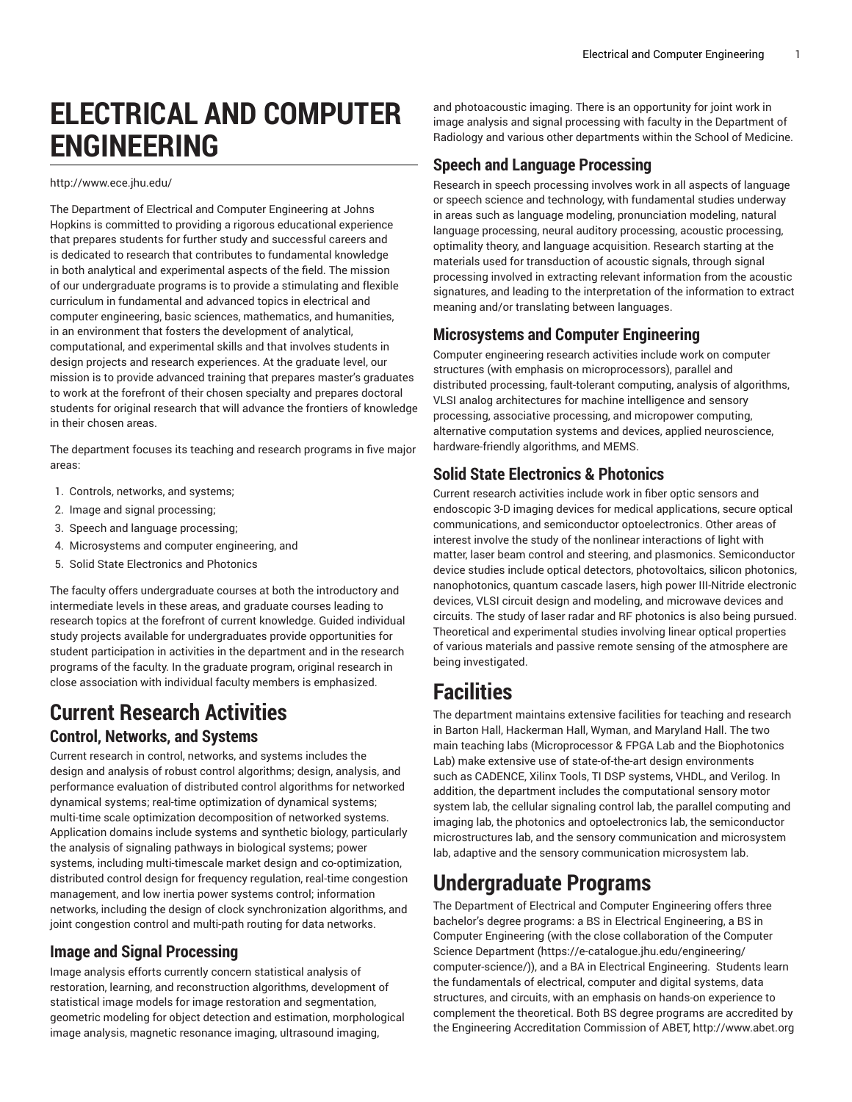# **ELECTRICAL AND COMPUTER ENGINEERING**

#### <http://www.ece.jhu.edu/>

The Department of Electrical and Computer Engineering at Johns Hopkins is committed to providing a rigorous educational experience that prepares students for further study and successful careers and is dedicated to research that contributes to fundamental knowledge in both analytical and experimental aspects of the field. The mission of our undergraduate programs is to provide a stimulating and flexible curriculum in fundamental and advanced topics in electrical and computer engineering, basic sciences, mathematics, and humanities, in an environment that fosters the development of analytical, computational, and experimental skills and that involves students in design projects and research experiences. At the graduate level, our mission is to provide advanced training that prepares master's graduates to work at the forefront of their chosen specialty and prepares doctoral students for original research that will advance the frontiers of knowledge in their chosen areas.

The department focuses its teaching and research programs in five major areas:

- 1. Controls, networks, and systems;
- 2. Image and signal processing;
- 3. Speech and language processing;
- 4. Microsystems and computer engineering, and
- 5. Solid State Electronics and Photonics

The faculty offers undergraduate courses at both the introductory and intermediate levels in these areas, and graduate courses leading to research topics at the forefront of current knowledge. Guided individual study projects available for undergraduates provide opportunities for student participation in activities in the department and in the research programs of the faculty. In the graduate program, original research in close association with individual faculty members is emphasized.

# **Current Research Activities**

## **Control, Networks, and Systems**

Current research in control, networks, and systems includes the design and analysis of robust control algorithms; design, analysis, and performance evaluation of distributed control algorithms for networked dynamical systems; real-time optimization of dynamical systems; multi-time scale optimization decomposition of networked systems. Application domains include systems and synthetic biology, particularly the analysis of signaling pathways in biological systems; power systems, including multi-timescale market design and co-optimization, distributed control design for frequency regulation, real-time congestion management, and low inertia power systems control; information networks, including the design of clock synchronization algorithms, and joint congestion control and multi-path routing for data networks.

## **Image and Signal Processing**

Image analysis efforts currently concern statistical analysis of restoration, learning, and reconstruction algorithms, development of statistical image models for image restoration and segmentation, geometric modeling for object detection and estimation, morphological image analysis, magnetic resonance imaging, ultrasound imaging,

and photoacoustic imaging. There is an opportunity for joint work in image analysis and signal processing with faculty in the Department of Radiology and various other departments within the School of Medicine.

## **Speech and Language Processing**

Research in speech processing involves work in all aspects of language or speech science and technology, with fundamental studies underway in areas such as language modeling, pronunciation modeling, natural language processing, neural auditory processing, acoustic processing, optimality theory, and language acquisition. Research starting at the materials used for transduction of acoustic signals, through signal processing involved in extracting relevant information from the acoustic signatures, and leading to the interpretation of the information to extract meaning and/or translating between languages.

## **Microsystems and Computer Engineering**

Computer engineering research activities include work on computer structures (with emphasis on microprocessors), parallel and distributed processing, fault-tolerant computing, analysis of algorithms, VLSI analog architectures for machine intelligence and sensory processing, associative processing, and micropower computing, alternative computation systems and devices, applied neuroscience, hardware-friendly algorithms, and MEMS.

## **Solid State Electronics & Photonics**

Current research activities include work in fiber optic sensors and endoscopic 3-D imaging devices for medical applications, secure optical communications, and semiconductor optoelectronics. Other areas of interest involve the study of the nonlinear interactions of light with matter, laser beam control and steering, and plasmonics. Semiconductor device studies include optical detectors, photovoltaics, silicon photonics, nanophotonics, quantum cascade lasers, high power III-Nitride electronic devices, VLSI circuit design and modeling, and microwave devices and circuits. The study of laser radar and RF photonics is also being pursued. Theoretical and experimental studies involving linear optical properties of various materials and passive remote sensing of the atmosphere are being investigated.

# **Facilities**

The department maintains extensive facilities for teaching and research in Barton Hall, Hackerman Hall, Wyman, and Maryland Hall. The two main teaching labs (Microprocessor & FPGA Lab and the Biophotonics Lab) make extensive use of state-of-the-art design environments such as CADENCE, Xilinx Tools, TI DSP systems, VHDL, and Verilog. In addition, the department includes the computational sensory motor system lab, the cellular signaling control lab, the parallel computing and imaging lab, the photonics and optoelectronics lab, the semiconductor microstructures lab, and the sensory communication and microsystem lab, adaptive and the sensory communication microsystem lab.

# **Undergraduate Programs**

The Department of Electrical and Computer Engineering offers three bachelor's degree programs: a BS in Electrical Engineering, a BS in Computer Engineering (with the close collaboration of the [Computer](https://e-catalogue.jhu.edu/engineering/computer-science/) Science [Department](https://e-catalogue.jhu.edu/engineering/computer-science/) ([https://e-catalogue.jhu.edu/engineering/](https://e-catalogue.jhu.edu/engineering/computer-science/) [computer-science/](https://e-catalogue.jhu.edu/engineering/computer-science/))), and a BA in Electrical Engineering. Students learn the fundamentals of electrical, computer and digital systems, data structures, and circuits, with an emphasis on hands-on experience to complement the theoretical. Both BS degree programs are accredited by the Engineering Accreditation Commission of ABET, [http://www.abet.org](http://www.abet.org/)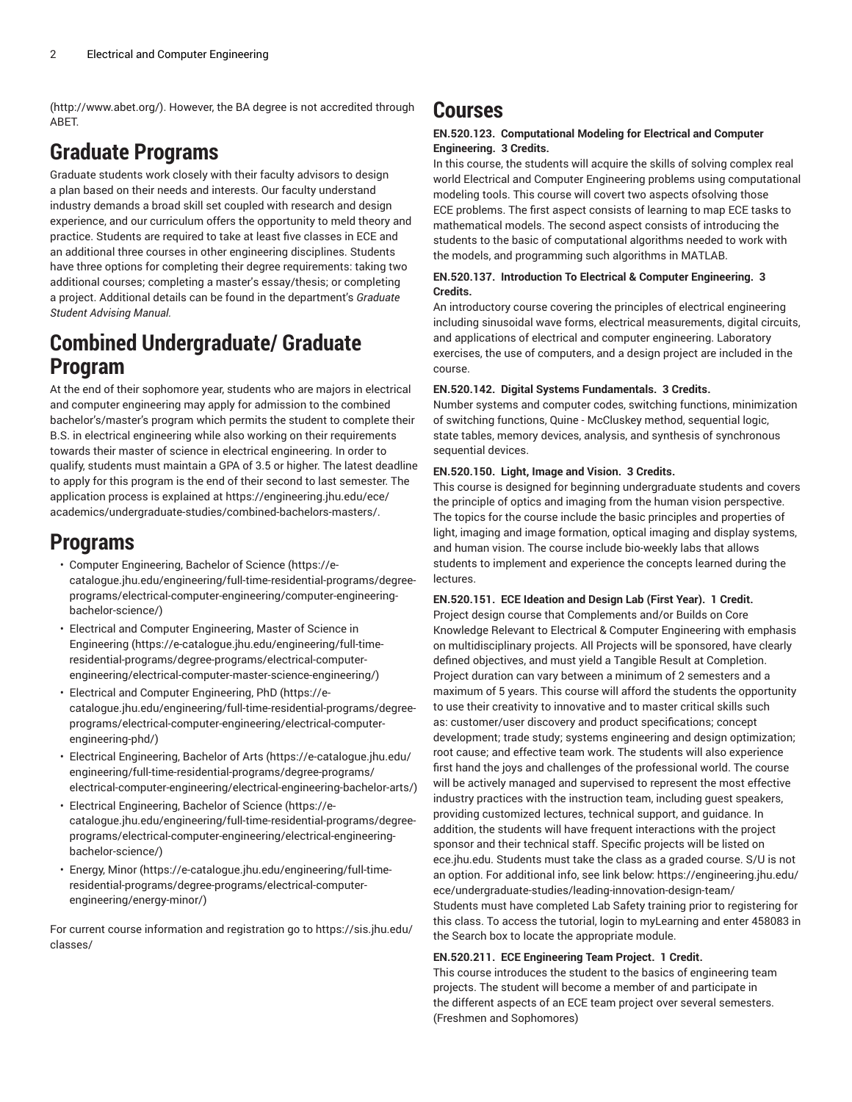([http://www.abet.org/\)](http://www.abet.org/). However, the BA degree is not accredited through ABET.

# **Graduate Programs**

Graduate students work closely with their faculty advisors to design a plan based on their needs and interests. Our faculty understand industry demands a broad skill set coupled with research and design experience, and our curriculum offers the opportunity to meld theory and practice. Students are required to take at least five classes in ECE and an additional three courses in other engineering disciplines. Students have three options for completing their degree requirements: taking two additional courses; completing a master's essay/thesis; or completing a project. Additional details can be found in the department's *Graduate Student Advising Manual.*

# **Combined Undergraduate/ Graduate Program**

At the end of their sophomore year, students who are majors in electrical and computer engineering may apply for admission to the combined bachelor's/master's program which permits the student to complete their B.S. in electrical engineering while also working on their requirements towards their master of science in electrical engineering. In order to qualify, students must maintain a GPA of 3.5 or higher. The latest deadline to apply for this program is the end of their second to last semester. The application process is explained at [https://engineering.jhu.edu/ece/](https://engineering.jhu.edu/ece/academics/undergraduate-studies/combined-bachelors-masters/) [academics/undergraduate-studies/combined-bachelors-masters/](https://engineering.jhu.edu/ece/academics/undergraduate-studies/combined-bachelors-masters/).

# **Programs**

- [Computer Engineering, Bachelor of Science](https://e-catalogue.jhu.edu/engineering/full-time-residential-programs/degree-programs/electrical-computer-engineering/computer-engineering-bachelor-science/) ([https://e](https://e-catalogue.jhu.edu/engineering/full-time-residential-programs/degree-programs/electrical-computer-engineering/computer-engineering-bachelor-science/)[catalogue.jhu.edu/engineering/full-time-residential-programs/degree](https://e-catalogue.jhu.edu/engineering/full-time-residential-programs/degree-programs/electrical-computer-engineering/computer-engineering-bachelor-science/)[programs/electrical-computer-engineering/computer-engineering](https://e-catalogue.jhu.edu/engineering/full-time-residential-programs/degree-programs/electrical-computer-engineering/computer-engineering-bachelor-science/)[bachelor-science/](https://e-catalogue.jhu.edu/engineering/full-time-residential-programs/degree-programs/electrical-computer-engineering/computer-engineering-bachelor-science/))
- [Electrical and Computer Engineering, Master of Science in](https://e-catalogue.jhu.edu/engineering/full-time-residential-programs/degree-programs/electrical-computer-engineering/electrical-computer-master-science-engineering/) [Engineering \(https://e-catalogue.jhu.edu/engineering/full-time](https://e-catalogue.jhu.edu/engineering/full-time-residential-programs/degree-programs/electrical-computer-engineering/electrical-computer-master-science-engineering/)[residential-programs/degree-programs/electrical-computer](https://e-catalogue.jhu.edu/engineering/full-time-residential-programs/degree-programs/electrical-computer-engineering/electrical-computer-master-science-engineering/)[engineering/electrical-computer-master-science-engineering/](https://e-catalogue.jhu.edu/engineering/full-time-residential-programs/degree-programs/electrical-computer-engineering/electrical-computer-master-science-engineering/))
- [Electrical and Computer Engineering, PhD](https://e-catalogue.jhu.edu/engineering/full-time-residential-programs/degree-programs/electrical-computer-engineering/electrical-computer-engineering-phd/) ([https://e](https://e-catalogue.jhu.edu/engineering/full-time-residential-programs/degree-programs/electrical-computer-engineering/electrical-computer-engineering-phd/)[catalogue.jhu.edu/engineering/full-time-residential-programs/degree](https://e-catalogue.jhu.edu/engineering/full-time-residential-programs/degree-programs/electrical-computer-engineering/electrical-computer-engineering-phd/)[programs/electrical-computer-engineering/electrical-computer](https://e-catalogue.jhu.edu/engineering/full-time-residential-programs/degree-programs/electrical-computer-engineering/electrical-computer-engineering-phd/)[engineering-phd/](https://e-catalogue.jhu.edu/engineering/full-time-residential-programs/degree-programs/electrical-computer-engineering/electrical-computer-engineering-phd/))
- Electrical [Engineering,](https://e-catalogue.jhu.edu/engineering/full-time-residential-programs/degree-programs/electrical-computer-engineering/electrical-engineering-bachelor-arts/) Bachelor of Arts [\(https://e-catalogue.jhu.edu/](https://e-catalogue.jhu.edu/engineering/full-time-residential-programs/degree-programs/electrical-computer-engineering/electrical-engineering-bachelor-arts/) [engineering/full-time-residential-programs/degree-programs/](https://e-catalogue.jhu.edu/engineering/full-time-residential-programs/degree-programs/electrical-computer-engineering/electrical-engineering-bachelor-arts/) [electrical-computer-engineering/electrical-engineering-bachelor-arts/](https://e-catalogue.jhu.edu/engineering/full-time-residential-programs/degree-programs/electrical-computer-engineering/electrical-engineering-bachelor-arts/))
- [Electrical Engineering, Bachelor of Science](https://e-catalogue.jhu.edu/engineering/full-time-residential-programs/degree-programs/electrical-computer-engineering/electrical-engineering-bachelor-science/) ([https://e](https://e-catalogue.jhu.edu/engineering/full-time-residential-programs/degree-programs/electrical-computer-engineering/electrical-engineering-bachelor-science/)[catalogue.jhu.edu/engineering/full-time-residential-programs/degree](https://e-catalogue.jhu.edu/engineering/full-time-residential-programs/degree-programs/electrical-computer-engineering/electrical-engineering-bachelor-science/)[programs/electrical-computer-engineering/electrical-engineering](https://e-catalogue.jhu.edu/engineering/full-time-residential-programs/degree-programs/electrical-computer-engineering/electrical-engineering-bachelor-science/)[bachelor-science/](https://e-catalogue.jhu.edu/engineering/full-time-residential-programs/degree-programs/electrical-computer-engineering/electrical-engineering-bachelor-science/))
- [Energy,](https://e-catalogue.jhu.edu/engineering/full-time-residential-programs/degree-programs/electrical-computer-engineering/energy-minor/) Minor [\(https://e-catalogue.jhu.edu/engineering/full-time](https://e-catalogue.jhu.edu/engineering/full-time-residential-programs/degree-programs/electrical-computer-engineering/energy-minor/)[residential-programs/degree-programs/electrical-computer](https://e-catalogue.jhu.edu/engineering/full-time-residential-programs/degree-programs/electrical-computer-engineering/energy-minor/)[engineering/energy-minor/](https://e-catalogue.jhu.edu/engineering/full-time-residential-programs/degree-programs/electrical-computer-engineering/energy-minor/))

For current course information and registration go to [https://sis.jhu.edu/](https://sis.jhu.edu/classes/) [classes/](https://sis.jhu.edu/classes/)

## **Courses**

## **EN.520.123. Computational Modeling for Electrical and Computer Engineering. 3 Credits.**

In this course, the students will acquire the skills of solving complex real world Electrical and Computer Engineering problems using computational modeling tools. This course will covert two aspects ofsolving those ECE problems. The first aspect consists of learning to map ECE tasks to mathematical models. The second aspect consists of introducing the students to the basic of computational algorithms needed to work with the models, and programming such algorithms in MATLAB.

## **EN.520.137. Introduction To Electrical & Computer Engineering. 3 Credits.**

An introductory course covering the principles of electrical engineering including sinusoidal wave forms, electrical measurements, digital circuits, and applications of electrical and computer engineering. Laboratory exercises, the use of computers, and a design project are included in the course.

## **EN.520.142. Digital Systems Fundamentals. 3 Credits.**

Number systems and computer codes, switching functions, minimization of switching functions, Quine - McCluskey method, sequential logic, state tables, memory devices, analysis, and synthesis of synchronous sequential devices.

## **EN.520.150. Light, Image and Vision. 3 Credits.**

This course is designed for beginning undergraduate students and covers the principle of optics and imaging from the human vision perspective. The topics for the course include the basic principles and properties of light, imaging and image formation, optical imaging and display systems, and human vision. The course include bio-weekly labs that allows students to implement and experience the concepts learned during the lectures.

## **EN.520.151. ECE Ideation and Design Lab (First Year). 1 Credit.**

Project design course that Complements and/or Builds on Core Knowledge Relevant to Electrical & Computer Engineering with emphasis on multidisciplinary projects. All Projects will be sponsored, have clearly defined objectives, and must yield a Tangible Result at Completion. Project duration can vary between a minimum of 2 semesters and a maximum of 5 years. This course will afford the students the opportunity to use their creativity to innovative and to master critical skills such as: customer/user discovery and product specifications; concept development; trade study; systems engineering and design optimization; root cause; and effective team work. The students will also experience first hand the joys and challenges of the professional world. The course will be actively managed and supervised to represent the most effective industry practices with the instruction team, including guest speakers, providing customized lectures, technical support, and guidance. In addition, the students will have frequent interactions with the project sponsor and their technical staff. Specific projects will be listed on ece.jhu.edu. Students must take the class as a graded course. S/U is not an option. For additional info, see link below: https://engineering.jhu.edu/ ece/undergraduate-studies/leading-innovation-design-team/ Students must have completed Lab Safety training prior to registering for this class. To access the tutorial, login to myLearning and enter 458083 in the Search box to locate the appropriate module.

## **EN.520.211. ECE Engineering Team Project. 1 Credit.**

This course introduces the student to the basics of engineering team projects. The student will become a member of and participate in the different aspects of an ECE team project over several semesters. (Freshmen and Sophomores)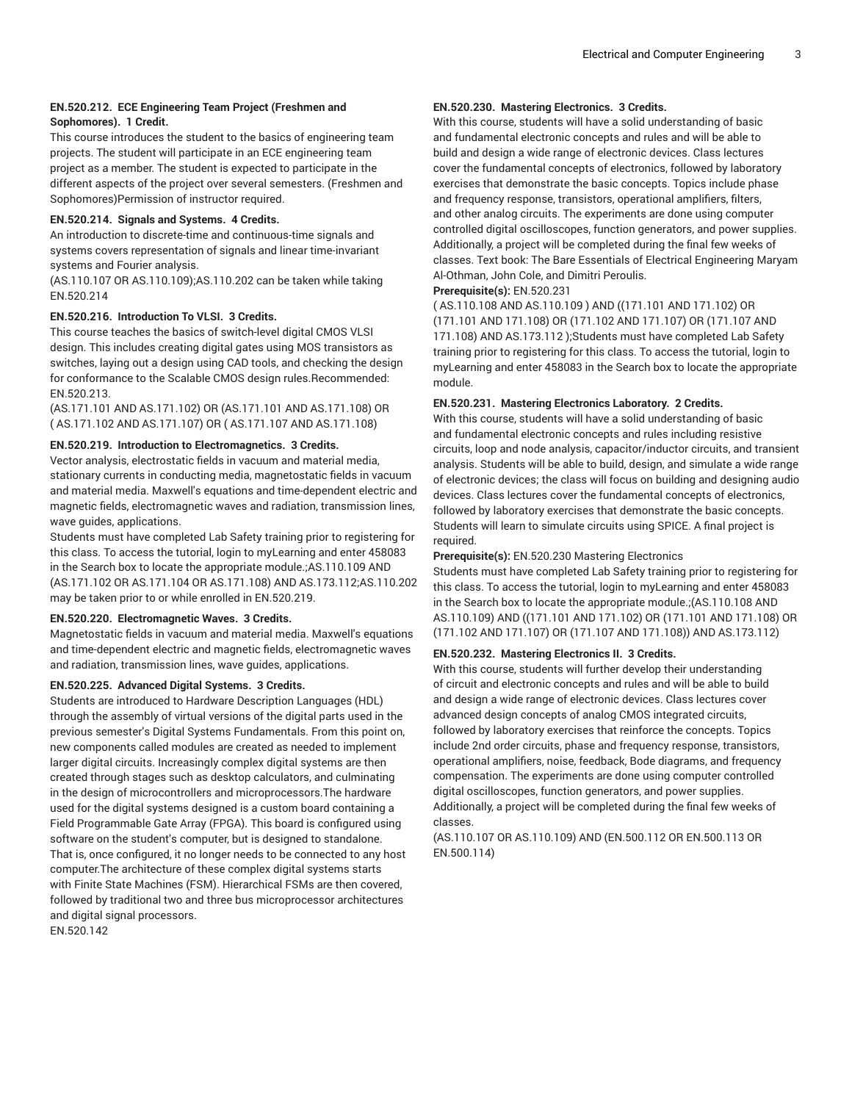## **EN.520.212. ECE Engineering Team Project (Freshmen and Sophomores). 1 Credit.**

This course introduces the student to the basics of engineering team projects. The student will participate in an ECE engineering team project as a member. The student is expected to participate in the different aspects of the project over several semesters. (Freshmen and Sophomores)Permission of instructor required.

## **EN.520.214. Signals and Systems. 4 Credits.**

An introduction to discrete-time and continuous-time signals and systems covers representation of signals and linear time-invariant systems and Fourier analysis.

(AS.110.107 OR AS.110.109);AS.110.202 can be taken while taking EN.520.214

## **EN.520.216. Introduction To VLSI. 3 Credits.**

This course teaches the basics of switch-level digital CMOS VLSI design. This includes creating digital gates using MOS transistors as switches, laying out a design using CAD tools, and checking the design for conformance to the Scalable CMOS design rules.Recommended: EN.520.213.

(AS.171.101 AND AS.171.102) OR (AS.171.101 AND AS.171.108) OR ( AS.171.102 AND AS.171.107) OR ( AS.171.107 AND AS.171.108)

## **EN.520.219. Introduction to Electromagnetics. 3 Credits.**

Vector analysis, electrostatic fields in vacuum and material media, stationary currents in conducting media, magnetostatic fields in vacuum and material media. Maxwell's equations and time-dependent electric and magnetic fields, electromagnetic waves and radiation, transmission lines, wave guides, applications.

Students must have completed Lab Safety training prior to registering for this class. To access the tutorial, login to myLearning and enter 458083 in the Search box to locate the appropriate module.;AS.110.109 AND (AS.171.102 OR AS.171.104 OR AS.171.108) AND AS.173.112;AS.110.202 may be taken prior to or while enrolled in EN.520.219.

## **EN.520.220. Electromagnetic Waves. 3 Credits.**

Magnetostatic fields in vacuum and material media. Maxwell's equations and time-dependent electric and magnetic fields, electromagnetic waves and radiation, transmission lines, wave guides, applications.

## **EN.520.225. Advanced Digital Systems. 3 Credits.**

Students are introduced to Hardware Description Languages (HDL) through the assembly of virtual versions of the digital parts used in the previous semester's Digital Systems Fundamentals. From this point on, new components called modules are created as needed to implement larger digital circuits. Increasingly complex digital systems are then created through stages such as desktop calculators, and culminating in the design of microcontrollers and microprocessors.The hardware used for the digital systems designed is a custom board containing a Field Programmable Gate Array (FPGA). This board is configured using software on the student's computer, but is designed to standalone. That is, once configured, it no longer needs to be connected to any host computer.The architecture of these complex digital systems starts with Finite State Machines (FSM). Hierarchical FSMs are then covered, followed by traditional two and three bus microprocessor architectures and digital signal processors.

EN.520.142

### **EN.520.230. Mastering Electronics. 3 Credits.**

With this course, students will have a solid understanding of basic and fundamental electronic concepts and rules and will be able to build and design a wide range of electronic devices. Class lectures cover the fundamental concepts of electronics, followed by laboratory exercises that demonstrate the basic concepts. Topics include phase and frequency response, transistors, operational amplifiers, filters, and other analog circuits. The experiments are done using computer controlled digital oscilloscopes, function generators, and power supplies. Additionally, a project will be completed during the final few weeks of classes. Text book: The Bare Essentials of Electrical Engineering Maryam Al-Othman, John Cole, and Dimitri Peroulis.

## **Prerequisite(s):** EN.520.231

( AS.110.108 AND AS.110.109 ) AND ((171.101 AND 171.102) OR (171.101 AND 171.108) OR (171.102 AND 171.107) OR (171.107 AND 171.108) AND AS.173.112 );Students must have completed Lab Safety training prior to registering for this class. To access the tutorial, login to myLearning and enter 458083 in the Search box to locate the appropriate module.

## **EN.520.231. Mastering Electronics Laboratory. 2 Credits.**

With this course, students will have a solid understanding of basic and fundamental electronic concepts and rules including resistive circuits, loop and node analysis, capacitor/inductor circuits, and transient analysis. Students will be able to build, design, and simulate a wide range of electronic devices; the class will focus on building and designing audio devices. Class lectures cover the fundamental concepts of electronics, followed by laboratory exercises that demonstrate the basic concepts. Students will learn to simulate circuits using SPICE. A final project is required.

## **Prerequisite(s):** EN.520.230 Mastering Electronics

Students must have completed Lab Safety training prior to registering for this class. To access the tutorial, login to myLearning and enter 458083 in the Search box to locate the appropriate module.;(AS.110.108 AND AS.110.109) AND ((171.101 AND 171.102) OR (171.101 AND 171.108) OR (171.102 AND 171.107) OR (171.107 AND 171.108)) AND AS.173.112)

## **EN.520.232. Mastering Electronics II. 3 Credits.**

With this course, students will further develop their understanding of circuit and electronic concepts and rules and will be able to build and design a wide range of electronic devices. Class lectures cover advanced design concepts of analog CMOS integrated circuits, followed by laboratory exercises that reinforce the concepts. Topics include 2nd order circuits, phase and frequency response, transistors, operational amplifiers, noise, feedback, Bode diagrams, and frequency compensation. The experiments are done using computer controlled digital oscilloscopes, function generators, and power supplies. Additionally, a project will be completed during the final few weeks of classes.

(AS.110.107 OR AS.110.109) AND (EN.500.112 OR EN.500.113 OR EN.500.114)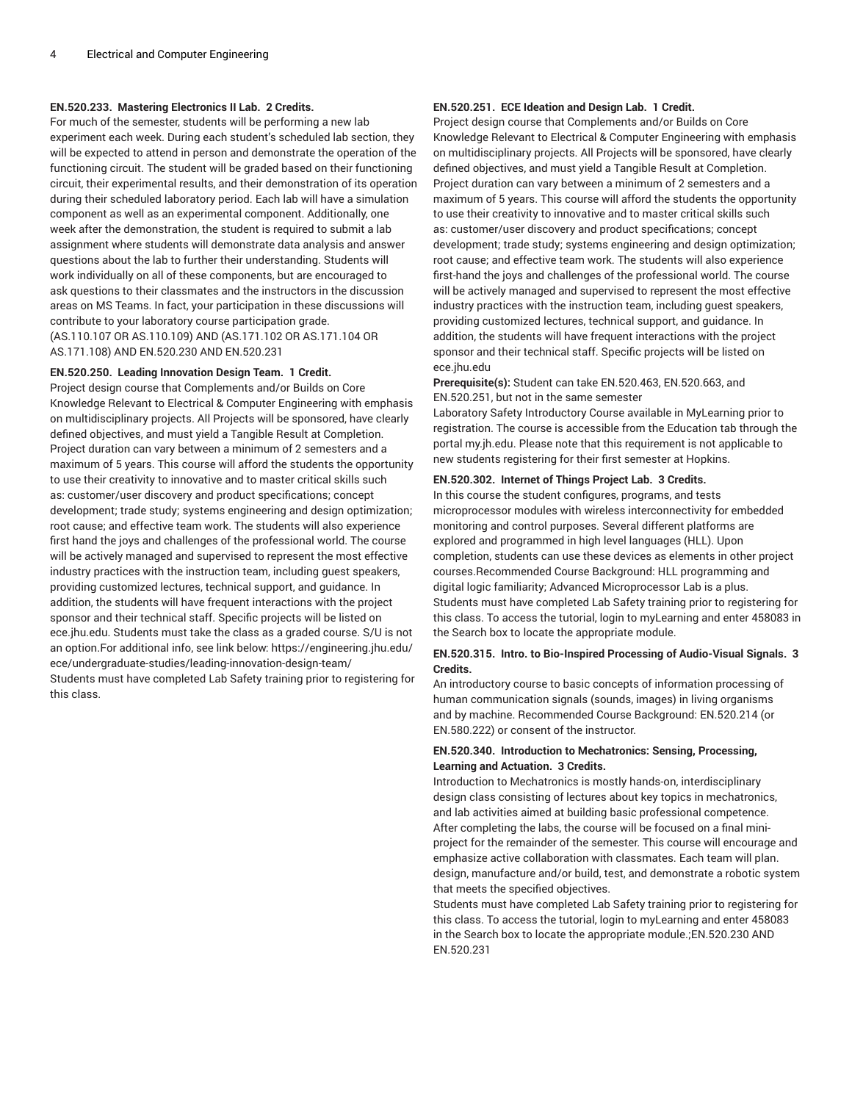## **EN.520.233. Mastering Electronics II Lab. 2 Credits.**

For much of the semester, students will be performing a new lab experiment each week. During each student's scheduled lab section, they will be expected to attend in person and demonstrate the operation of the functioning circuit. The student will be graded based on their functioning circuit, their experimental results, and their demonstration of its operation during their scheduled laboratory period. Each lab will have a simulation component as well as an experimental component. Additionally, one week after the demonstration, the student is required to submit a lab assignment where students will demonstrate data analysis and answer questions about the lab to further their understanding. Students will work individually on all of these components, but are encouraged to ask questions to their classmates and the instructors in the discussion areas on MS Teams. In fact, your participation in these discussions will contribute to your laboratory course participation grade. (AS.110.107 OR AS.110.109) AND (AS.171.102 OR AS.171.104 OR AS.171.108) AND EN.520.230 AND EN.520.231

### **EN.520.250. Leading Innovation Design Team. 1 Credit.**

Project design course that Complements and/or Builds on Core Knowledge Relevant to Electrical & Computer Engineering with emphasis on multidisciplinary projects. All Projects will be sponsored, have clearly defined objectives, and must yield a Tangible Result at Completion. Project duration can vary between a minimum of 2 semesters and a maximum of 5 years. This course will afford the students the opportunity to use their creativity to innovative and to master critical skills such as: customer/user discovery and product specifications; concept development; trade study; systems engineering and design optimization; root cause; and effective team work. The students will also experience first hand the joys and challenges of the professional world. The course will be actively managed and supervised to represent the most effective industry practices with the instruction team, including guest speakers, providing customized lectures, technical support, and guidance. In addition, the students will have frequent interactions with the project sponsor and their technical staff. Specific projects will be listed on ece.jhu.edu. Students must take the class as a graded course. S/U is not an option.For additional info, see link below: https://engineering.jhu.edu/ ece/undergraduate-studies/leading-innovation-design-team/ Students must have completed Lab Safety training prior to registering for this class.

## **EN.520.251. ECE Ideation and Design Lab. 1 Credit.**

Project design course that Complements and/or Builds on Core Knowledge Relevant to Electrical & Computer Engineering with emphasis on multidisciplinary projects. All Projects will be sponsored, have clearly defined objectives, and must yield a Tangible Result at Completion. Project duration can vary between a minimum of 2 semesters and a maximum of 5 years. This course will afford the students the opportunity to use their creativity to innovative and to master critical skills such as: customer/user discovery and product specifications; concept development; trade study; systems engineering and design optimization; root cause; and effective team work. The students will also experience first-hand the joys and challenges of the professional world. The course will be actively managed and supervised to represent the most effective industry practices with the instruction team, including guest speakers, providing customized lectures, technical support, and guidance. In addition, the students will have frequent interactions with the project sponsor and their technical staff. Specific projects will be listed on ece.jhu.edu

**Prerequisite(s):** Student can take EN.520.463, EN.520.663, and EN.520.251, but not in the same semester

Laboratory Safety Introductory Course available in MyLearning prior to registration. The course is accessible from the Education tab through the portal my.jh.edu. Please note that this requirement is not applicable to new students registering for their first semester at Hopkins.

### **EN.520.302. Internet of Things Project Lab. 3 Credits.**

In this course the student configures, programs, and tests microprocessor modules with wireless interconnectivity for embedded monitoring and control purposes. Several different platforms are explored and programmed in high level languages (HLL). Upon completion, students can use these devices as elements in other project courses.Recommended Course Background: HLL programming and digital logic familiarity; Advanced Microprocessor Lab is a plus. Students must have completed Lab Safety training prior to registering for this class. To access the tutorial, login to myLearning and enter 458083 in the Search box to locate the appropriate module.

## **EN.520.315. Intro. to Bio-Inspired Processing of Audio-Visual Signals. 3 Credits.**

An introductory course to basic concepts of information processing of human communication signals (sounds, images) in living organisms and by machine. Recommended Course Background: EN.520.214 (or EN.580.222) or consent of the instructor.

## **EN.520.340. Introduction to Mechatronics: Sensing, Processing, Learning and Actuation. 3 Credits.**

Introduction to Mechatronics is mostly hands-on, interdisciplinary design class consisting of lectures about key topics in mechatronics, and lab activities aimed at building basic professional competence. After completing the labs, the course will be focused on a final miniproject for the remainder of the semester. This course will encourage and emphasize active collaboration with classmates. Each team will plan. design, manufacture and/or build, test, and demonstrate a robotic system that meets the specified objectives.

Students must have completed Lab Safety training prior to registering for this class. To access the tutorial, login to myLearning and enter 458083 in the Search box to locate the appropriate module.;EN.520.230 AND EN.520.231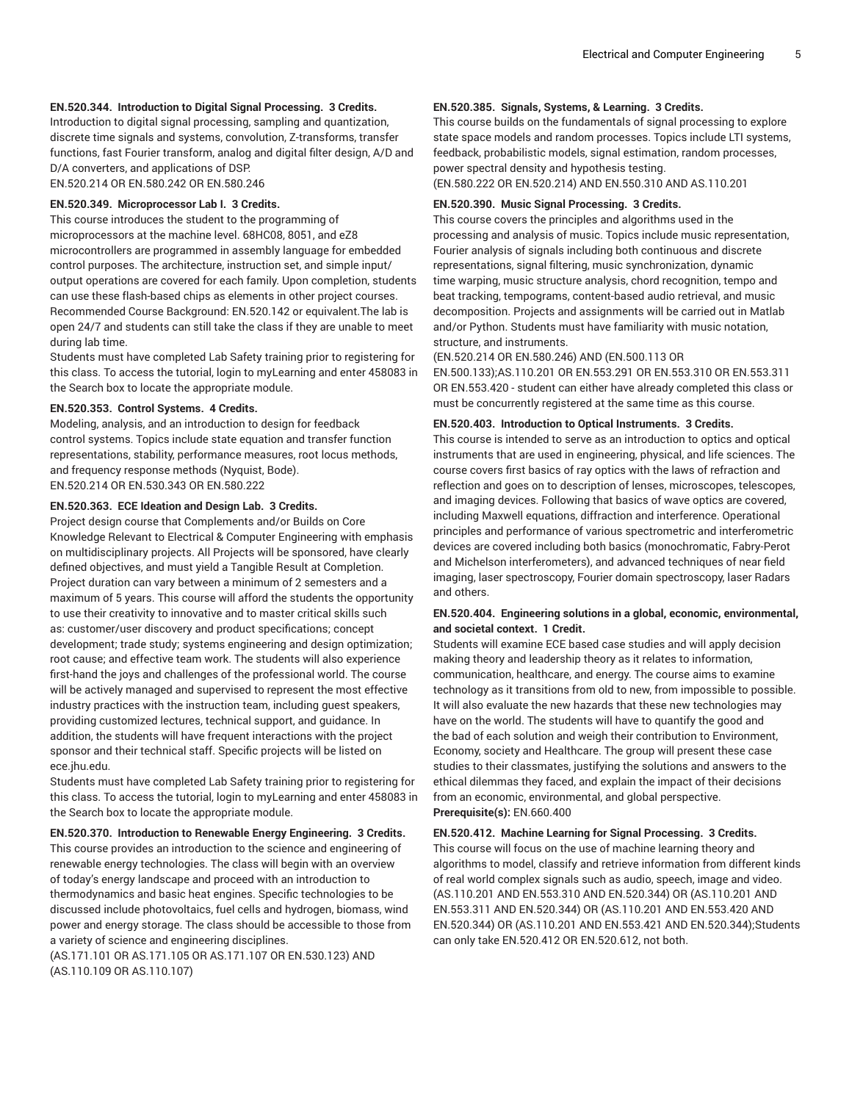## **EN.520.344. Introduction to Digital Signal Processing. 3 Credits.**

Introduction to digital signal processing, sampling and quantization, discrete time signals and systems, convolution, Z-transforms, transfer functions, fast Fourier transform, analog and digital filter design, A/D and D/A converters, and applications of DSP. EN.520.214 OR EN.580.242 OR EN.580.246

### **EN.520.349. Microprocessor Lab I. 3 Credits.**

This course introduces the student to the programming of microprocessors at the machine level. 68HC08, 8051, and eZ8 microcontrollers are programmed in assembly language for embedded control purposes. The architecture, instruction set, and simple input/ output operations are covered for each family. Upon completion, students can use these flash-based chips as elements in other project courses. Recommended Course Background: EN.520.142 or equivalent.The lab is open 24/7 and students can still take the class if they are unable to meet during lab time.

Students must have completed Lab Safety training prior to registering for this class. To access the tutorial, login to myLearning and enter 458083 in the Search box to locate the appropriate module.

#### **EN.520.353. Control Systems. 4 Credits.**

Modeling, analysis, and an introduction to design for feedback control systems. Topics include state equation and transfer function representations, stability, performance measures, root locus methods, and frequency response methods (Nyquist, Bode). EN.520.214 OR EN.530.343 OR EN.580.222

#### **EN.520.363. ECE Ideation and Design Lab. 3 Credits.**

Project design course that Complements and/or Builds on Core Knowledge Relevant to Electrical & Computer Engineering with emphasis on multidisciplinary projects. All Projects will be sponsored, have clearly defined objectives, and must yield a Tangible Result at Completion. Project duration can vary between a minimum of 2 semesters and a maximum of 5 years. This course will afford the students the opportunity to use their creativity to innovative and to master critical skills such as: customer/user discovery and product specifications; concept development; trade study; systems engineering and design optimization; root cause; and effective team work. The students will also experience first-hand the joys and challenges of the professional world. The course will be actively managed and supervised to represent the most effective industry practices with the instruction team, including guest speakers, providing customized lectures, technical support, and guidance. In addition, the students will have frequent interactions with the project sponsor and their technical staff. Specific projects will be listed on ece.jhu.edu.

Students must have completed Lab Safety training prior to registering for this class. To access the tutorial, login to myLearning and enter 458083 in the Search box to locate the appropriate module.

#### **EN.520.370. Introduction to Renewable Energy Engineering. 3 Credits.**

This course provides an introduction to the science and engineering of renewable energy technologies. The class will begin with an overview of today's energy landscape and proceed with an introduction to thermodynamics and basic heat engines. Specific technologies to be discussed include photovoltaics, fuel cells and hydrogen, biomass, wind power and energy storage. The class should be accessible to those from a variety of science and engineering disciplines.

(AS.171.101 OR AS.171.105 OR AS.171.107 OR EN.530.123) AND (AS.110.109 OR AS.110.107)

#### **EN.520.385. Signals, Systems, & Learning. 3 Credits.**

This course builds on the fundamentals of signal processing to explore state space models and random processes. Topics include LTI systems, feedback, probabilistic models, signal estimation, random processes, power spectral density and hypothesis testing.

(EN.580.222 OR EN.520.214) AND EN.550.310 AND AS.110.201

## **EN.520.390. Music Signal Processing. 3 Credits.**

This course covers the principles and algorithms used in the processing and analysis of music. Topics include music representation, Fourier analysis of signals including both continuous and discrete representations, signal filtering, music synchronization, dynamic time warping, music structure analysis, chord recognition, tempo and beat tracking, tempograms, content-based audio retrieval, and music decomposition. Projects and assignments will be carried out in Matlab and/or Python. Students must have familiarity with music notation, structure, and instruments.

#### (EN.520.214 OR EN.580.246) AND (EN.500.113 OR

EN.500.133);AS.110.201 OR EN.553.291 OR EN.553.310 OR EN.553.311 OR EN.553.420 - student can either have already completed this class or must be concurrently registered at the same time as this course.

#### **EN.520.403. Introduction to Optical Instruments. 3 Credits.**

This course is intended to serve as an introduction to optics and optical instruments that are used in engineering, physical, and life sciences. The course covers first basics of ray optics with the laws of refraction and reflection and goes on to description of lenses, microscopes, telescopes, and imaging devices. Following that basics of wave optics are covered, including Maxwell equations, diffraction and interference. Operational principles and performance of various spectrometric and interferometric devices are covered including both basics (monochromatic, Fabry-Perot and Michelson interferometers), and advanced techniques of near field imaging, laser spectroscopy, Fourier domain spectroscopy, laser Radars and others.

## **EN.520.404. Engineering solutions in a global, economic, environmental, and societal context. 1 Credit.**

Students will examine ECE based case studies and will apply decision making theory and leadership theory as it relates to information, communication, healthcare, and energy. The course aims to examine technology as it transitions from old to new, from impossible to possible. It will also evaluate the new hazards that these new technologies may have on the world. The students will have to quantify the good and the bad of each solution and weigh their contribution to Environment, Economy, society and Healthcare. The group will present these case studies to their classmates, justifying the solutions and answers to the ethical dilemmas they faced, and explain the impact of their decisions from an economic, environmental, and global perspective. **Prerequisite(s):** EN.660.400

#### **EN.520.412. Machine Learning for Signal Processing. 3 Credits.**

This course will focus on the use of machine learning theory and algorithms to model, classify and retrieve information from different kinds of real world complex signals such as audio, speech, image and video. (AS.110.201 AND EN.553.310 AND EN.520.344) OR (AS.110.201 AND EN.553.311 AND EN.520.344) OR (AS.110.201 AND EN.553.420 AND EN.520.344) OR (AS.110.201 AND EN.553.421 AND EN.520.344);Students can only take EN.520.412 OR EN.520.612, not both.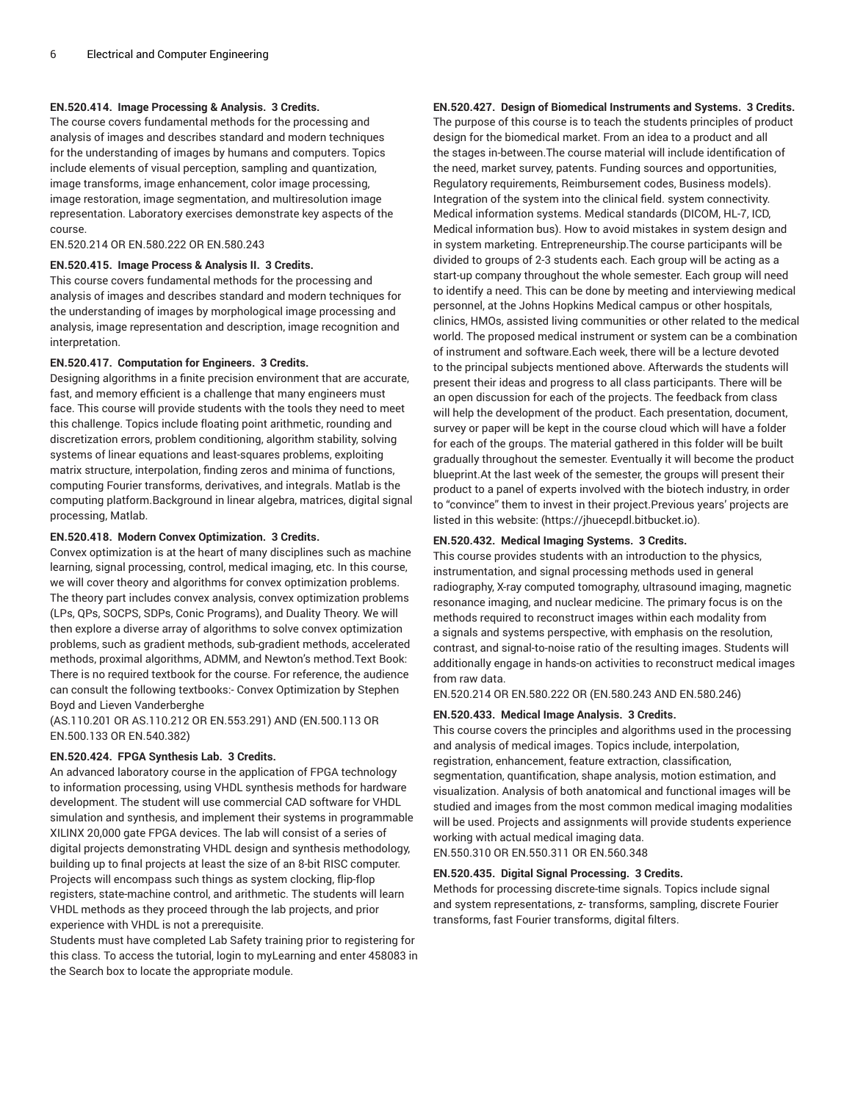## **EN.520.414. Image Processing & Analysis. 3 Credits.**

The course covers fundamental methods for the processing and analysis of images and describes standard and modern techniques for the understanding of images by humans and computers. Topics include elements of visual perception, sampling and quantization, image transforms, image enhancement, color image processing, image restoration, image segmentation, and multiresolution image representation. Laboratory exercises demonstrate key aspects of the course.

EN.520.214 OR EN.580.222 OR EN.580.243

### **EN.520.415. Image Process & Analysis II. 3 Credits.**

This course covers fundamental methods for the processing and analysis of images and describes standard and modern techniques for the understanding of images by morphological image processing and analysis, image representation and description, image recognition and interpretation.

#### **EN.520.417. Computation for Engineers. 3 Credits.**

Designing algorithms in a finite precision environment that are accurate, fast, and memory efficient is a challenge that many engineers must face. This course will provide students with the tools they need to meet this challenge. Topics include floating point arithmetic, rounding and discretization errors, problem conditioning, algorithm stability, solving systems of linear equations and least-squares problems, exploiting matrix structure, interpolation, finding zeros and minima of functions, computing Fourier transforms, derivatives, and integrals. Matlab is the computing platform.Background in linear algebra, matrices, digital signal processing, Matlab.

## **EN.520.418. Modern Convex Optimization. 3 Credits.**

Convex optimization is at the heart of many disciplines such as machine learning, signal processing, control, medical imaging, etc. In this course, we will cover theory and algorithms for convex optimization problems. The theory part includes convex analysis, convex optimization problems (LPs, QPs, SOCPS, SDPs, Conic Programs), and Duality Theory. We will then explore a diverse array of algorithms to solve convex optimization problems, such as gradient methods, sub-gradient methods, accelerated methods, proximal algorithms, ADMM, and Newton's method.Text Book: There is no required textbook for the course. For reference, the audience can consult the following textbooks:- Convex Optimization by Stephen Boyd and Lieven Vanderberghe

(AS.110.201 OR AS.110.212 OR EN.553.291) AND (EN.500.113 OR EN.500.133 OR EN.540.382)

## **EN.520.424. FPGA Synthesis Lab. 3 Credits.**

An advanced laboratory course in the application of FPGA technology to information processing, using VHDL synthesis methods for hardware development. The student will use commercial CAD software for VHDL simulation and synthesis, and implement their systems in programmable XILINX 20,000 gate FPGA devices. The lab will consist of a series of digital projects demonstrating VHDL design and synthesis methodology, building up to final projects at least the size of an 8-bit RISC computer. Projects will encompass such things as system clocking, flip-flop registers, state-machine control, and arithmetic. The students will learn VHDL methods as they proceed through the lab projects, and prior experience with VHDL is not a prerequisite.

Students must have completed Lab Safety training prior to registering for this class. To access the tutorial, login to myLearning and enter 458083 in the Search box to locate the appropriate module.

**EN.520.427. Design of Biomedical Instruments and Systems. 3 Credits.**

The purpose of this course is to teach the students principles of product design for the biomedical market. From an idea to a product and all the stages in-between.The course material will include identification of the need, market survey, patents. Funding sources and opportunities, Regulatory requirements, Reimbursement codes, Business models). Integration of the system into the clinical field. system connectivity. Medical information systems. Medical standards (DICOM, HL-7, ICD, Medical information bus). How to avoid mistakes in system design and in system marketing. Entrepreneurship.The course participants will be divided to groups of 2-3 students each. Each group will be acting as a start-up company throughout the whole semester. Each group will need to identify a need. This can be done by meeting and interviewing medical personnel, at the Johns Hopkins Medical campus or other hospitals, clinics, HMOs, assisted living communities or other related to the medical world. The proposed medical instrument or system can be a combination of instrument and software.Each week, there will be a lecture devoted to the principal subjects mentioned above. Afterwards the students will present their ideas and progress to all class participants. There will be an open discussion for each of the projects. The feedback from class will help the development of the product. Each presentation, document, survey or paper will be kept in the course cloud which will have a folder for each of the groups. The material gathered in this folder will be built gradually throughout the semester. Eventually it will become the product blueprint.At the last week of the semester, the groups will present their product to a panel of experts involved with the biotech industry, in order to "convince" them to invest in their project.Previous years' projects are listed in this website: (https://jhuecepdl.bitbucket.io).

## **EN.520.432. Medical Imaging Systems. 3 Credits.**

This course provides students with an introduction to the physics, instrumentation, and signal processing methods used in general radiography, X-ray computed tomography, ultrasound imaging, magnetic resonance imaging, and nuclear medicine. The primary focus is on the methods required to reconstruct images within each modality from a signals and systems perspective, with emphasis on the resolution, contrast, and signal-to-noise ratio of the resulting images. Students will additionally engage in hands-on activities to reconstruct medical images from raw data.

EN.520.214 OR EN.580.222 OR (EN.580.243 AND EN.580.246)

## **EN.520.433. Medical Image Analysis. 3 Credits.**

This course covers the principles and algorithms used in the processing and analysis of medical images. Topics include, interpolation, registration, enhancement, feature extraction, classification, segmentation, quantification, shape analysis, motion estimation, and visualization. Analysis of both anatomical and functional images will be studied and images from the most common medical imaging modalities will be used. Projects and assignments will provide students experience working with actual medical imaging data.

EN.550.310 OR EN.550.311 OR EN.560.348

#### **EN.520.435. Digital Signal Processing. 3 Credits.**

Methods for processing discrete-time signals. Topics include signal and system representations, z- transforms, sampling, discrete Fourier transforms, fast Fourier transforms, digital filters.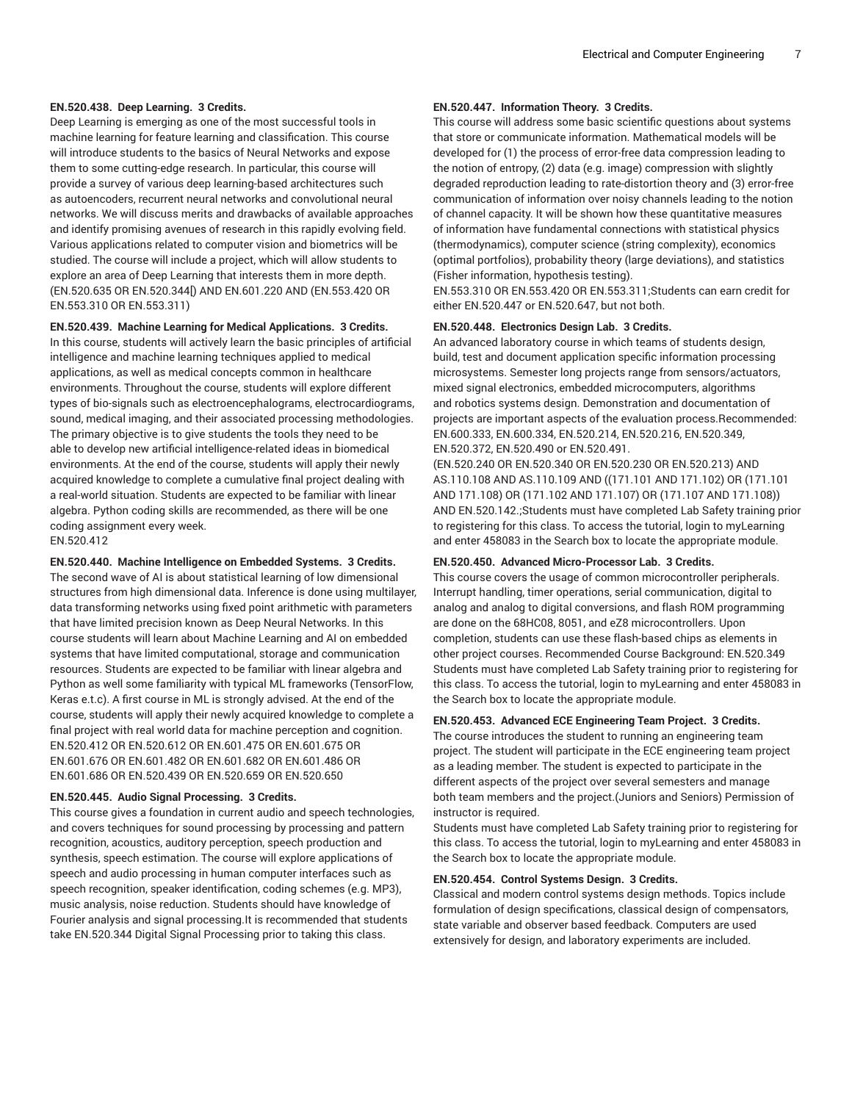## **EN.520.438. Deep Learning. 3 Credits.**

Deep Learning is emerging as one of the most successful tools in machine learning for feature learning and classification. This course will introduce students to the basics of Neural Networks and expose them to some cutting-edge research. In particular, this course will provide a survey of various deep learning-based architectures such as autoencoders, recurrent neural networks and convolutional neural networks. We will discuss merits and drawbacks of available approaches and identify promising avenues of research in this rapidly evolving field. Various applications related to computer vision and biometrics will be studied. The course will include a project, which will allow students to explore an area of Deep Learning that interests them in more depth. (EN.520.635 OR EN.520.344[) AND EN.601.220 AND (EN.553.420 OR EN.553.310 OR EN.553.311)

## **EN.520.439. Machine Learning for Medical Applications. 3 Credits.**

In this course, students will actively learn the basic principles of artificial intelligence and machine learning techniques applied to medical applications, as well as medical concepts common in healthcare environments. Throughout the course, students will explore different types of bio-signals such as electroencephalograms, electrocardiograms, sound, medical imaging, and their associated processing methodologies. The primary objective is to give students the tools they need to be able to develop new artificial intelligence-related ideas in biomedical environments. At the end of the course, students will apply their newly acquired knowledge to complete a cumulative final project dealing with a real-world situation. Students are expected to be familiar with linear algebra. Python coding skills are recommended, as there will be one coding assignment every week. EN.520.412

#### **EN.520.440. Machine Intelligence on Embedded Systems. 3 Credits.**

The second wave of AI is about statistical learning of low dimensional structures from high dimensional data. Inference is done using multilayer, data transforming networks using fixed point arithmetic with parameters that have limited precision known as Deep Neural Networks. In this course students will learn about Machine Learning and AI on embedded systems that have limited computational, storage and communication resources. Students are expected to be familiar with linear algebra and Python as well some familiarity with typical ML frameworks (TensorFlow, Keras e.t.c). A first course in ML is strongly advised. At the end of the course, students will apply their newly acquired knowledge to complete a final project with real world data for machine perception and cognition. EN.520.412 OR EN.520.612 OR EN.601.475 OR EN.601.675 OR EN.601.676 OR EN.601.482 OR EN.601.682 OR EN.601.486 OR EN.601.686 OR EN.520.439 OR EN.520.659 OR EN.520.650

## **EN.520.445. Audio Signal Processing. 3 Credits.**

This course gives a foundation in current audio and speech technologies, and covers techniques for sound processing by processing and pattern recognition, acoustics, auditory perception, speech production and synthesis, speech estimation. The course will explore applications of speech and audio processing in human computer interfaces such as speech recognition, speaker identification, coding schemes (e.g. MP3), music analysis, noise reduction. Students should have knowledge of Fourier analysis and signal processing.It is recommended that students take EN.520.344 Digital Signal Processing prior to taking this class.

## **EN.520.447. Information Theory. 3 Credits.**

This course will address some basic scientific questions about systems that store or communicate information. Mathematical models will be developed for (1) the process of error-free data compression leading to the notion of entropy, (2) data (e.g. image) compression with slightly degraded reproduction leading to rate-distortion theory and (3) error-free communication of information over noisy channels leading to the notion of channel capacity. It will be shown how these quantitative measures of information have fundamental connections with statistical physics (thermodynamics), computer science (string complexity), economics (optimal portfolios), probability theory (large deviations), and statistics (Fisher information, hypothesis testing).

EN.553.310 OR EN.553.420 OR EN.553.311;Students can earn credit for either EN.520.447 or EN.520.647, but not both.

## **EN.520.448. Electronics Design Lab. 3 Credits.**

An advanced laboratory course in which teams of students design, build, test and document application specific information processing microsystems. Semester long projects range from sensors/actuators, mixed signal electronics, embedded microcomputers, algorithms and robotics systems design. Demonstration and documentation of projects are important aspects of the evaluation process.Recommended: EN.600.333, EN.600.334, EN.520.214, EN.520.216, EN.520.349, EN.520.372, EN.520.490 or EN.520.491.

(EN.520.240 OR EN.520.340 OR EN.520.230 OR EN.520.213) AND AS.110.108 AND AS.110.109 AND ((171.101 AND 171.102) OR (171.101 AND 171.108) OR (171.102 AND 171.107) OR (171.107 AND 171.108)) AND EN.520.142.;Students must have completed Lab Safety training prior to registering for this class. To access the tutorial, login to myLearning and enter 458083 in the Search box to locate the appropriate module.

#### **EN.520.450. Advanced Micro-Processor Lab. 3 Credits.**

This course covers the usage of common microcontroller peripherals. Interrupt handling, timer operations, serial communication, digital to analog and analog to digital conversions, and flash ROM programming are done on the 68HC08, 8051, and eZ8 microcontrollers. Upon completion, students can use these flash-based chips as elements in other project courses. Recommended Course Background: EN.520.349 Students must have completed Lab Safety training prior to registering for this class. To access the tutorial, login to myLearning and enter 458083 in the Search box to locate the appropriate module.

## **EN.520.453. Advanced ECE Engineering Team Project. 3 Credits.**

The course introduces the student to running an engineering team project. The student will participate in the ECE engineering team project as a leading member. The student is expected to participate in the different aspects of the project over several semesters and manage both team members and the project.(Juniors and Seniors) Permission of instructor is required.

Students must have completed Lab Safety training prior to registering for this class. To access the tutorial, login to myLearning and enter 458083 in the Search box to locate the appropriate module.

## **EN.520.454. Control Systems Design. 3 Credits.**

Classical and modern control systems design methods. Topics include formulation of design specifications, classical design of compensators, state variable and observer based feedback. Computers are used extensively for design, and laboratory experiments are included.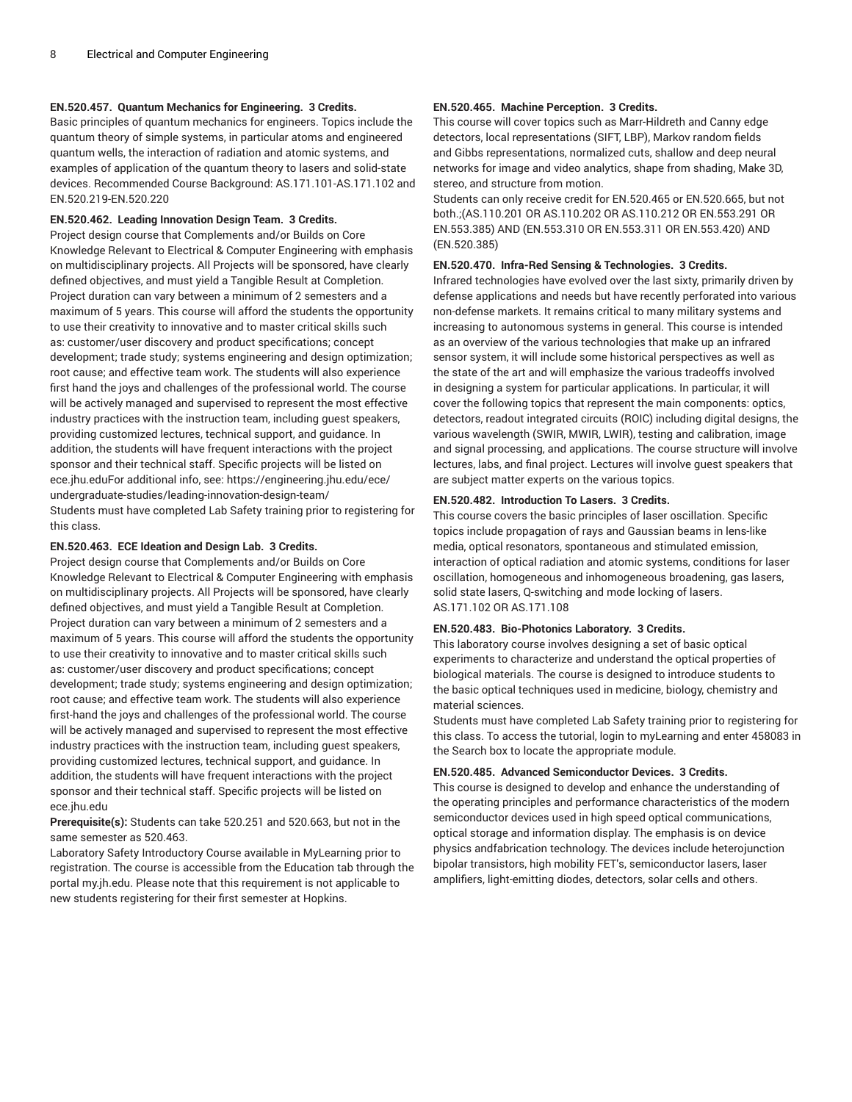## **EN.520.457. Quantum Mechanics for Engineering. 3 Credits.**

Basic principles of quantum mechanics for engineers. Topics include the quantum theory of simple systems, in particular atoms and engineered quantum wells, the interaction of radiation and atomic systems, and examples of application of the quantum theory to lasers and solid-state devices. Recommended Course Background: AS.171.101-AS.171.102 and EN.520.219-EN.520.220

## **EN.520.462. Leading Innovation Design Team. 3 Credits.**

Project design course that Complements and/or Builds on Core Knowledge Relevant to Electrical & Computer Engineering with emphasis on multidisciplinary projects. All Projects will be sponsored, have clearly defined objectives, and must yield a Tangible Result at Completion. Project duration can vary between a minimum of 2 semesters and a maximum of 5 years. This course will afford the students the opportunity to use their creativity to innovative and to master critical skills such as: customer/user discovery and product specifications; concept development; trade study; systems engineering and design optimization; root cause; and effective team work. The students will also experience first hand the joys and challenges of the professional world. The course will be actively managed and supervised to represent the most effective industry practices with the instruction team, including guest speakers, providing customized lectures, technical support, and guidance. In addition, the students will have frequent interactions with the project sponsor and their technical staff. Specific projects will be listed on ece.jhu.eduFor additional info, see: https://engineering.jhu.edu/ece/ undergraduate-studies/leading-innovation-design-team/ Students must have completed Lab Safety training prior to registering for this class.

### **EN.520.463. ECE Ideation and Design Lab. 3 Credits.**

Project design course that Complements and/or Builds on Core Knowledge Relevant to Electrical & Computer Engineering with emphasis on multidisciplinary projects. All Projects will be sponsored, have clearly defined objectives, and must yield a Tangible Result at Completion. Project duration can vary between a minimum of 2 semesters and a maximum of 5 years. This course will afford the students the opportunity to use their creativity to innovative and to master critical skills such as: customer/user discovery and product specifications; concept development; trade study; systems engineering and design optimization; root cause; and effective team work. The students will also experience first-hand the joys and challenges of the professional world. The course will be actively managed and supervised to represent the most effective industry practices with the instruction team, including guest speakers, providing customized lectures, technical support, and guidance. In addition, the students will have frequent interactions with the project sponsor and their technical staff. Specific projects will be listed on ece.jhu.edu

**Prerequisite(s):** Students can take 520.251 and 520.663, but not in the same semester as 520.463.

Laboratory Safety Introductory Course available in MyLearning prior to registration. The course is accessible from the Education tab through the portal my.jh.edu. Please note that this requirement is not applicable to new students registering for their first semester at Hopkins.

### **EN.520.465. Machine Perception. 3 Credits.**

This course will cover topics such as Marr-Hildreth and Canny edge detectors, local representations (SIFT, LBP), Markov random fields and Gibbs representations, normalized cuts, shallow and deep neural networks for image and video analytics, shape from shading, Make 3D, stereo, and structure from motion.

Students can only receive credit for EN.520.465 or EN.520.665, but not both.;(AS.110.201 OR AS.110.202 OR AS.110.212 OR EN.553.291 OR EN.553.385) AND (EN.553.310 OR EN.553.311 OR EN.553.420) AND (EN.520.385)

### **EN.520.470. Infra-Red Sensing & Technologies. 3 Credits.**

Infrared technologies have evolved over the last sixty, primarily driven by defense applications and needs but have recently perforated into various non-defense markets. It remains critical to many military systems and increasing to autonomous systems in general. This course is intended as an overview of the various technologies that make up an infrared sensor system, it will include some historical perspectives as well as the state of the art and will emphasize the various tradeoffs involved in designing a system for particular applications. In particular, it will cover the following topics that represent the main components: optics, detectors, readout integrated circuits (ROIC) including digital designs, the various wavelength (SWIR, MWIR, LWIR), testing and calibration, image and signal processing, and applications. The course structure will involve lectures, labs, and final project. Lectures will involve guest speakers that are subject matter experts on the various topics.

#### **EN.520.482. Introduction To Lasers. 3 Credits.**

This course covers the basic principles of laser oscillation. Specific topics include propagation of rays and Gaussian beams in lens-like media, optical resonators, spontaneous and stimulated emission, interaction of optical radiation and atomic systems, conditions for laser oscillation, homogeneous and inhomogeneous broadening, gas lasers, solid state lasers, Q-switching and mode locking of lasers. AS.171.102 OR AS.171.108

## **EN.520.483. Bio-Photonics Laboratory. 3 Credits.**

This laboratory course involves designing a set of basic optical experiments to characterize and understand the optical properties of biological materials. The course is designed to introduce students to the basic optical techniques used in medicine, biology, chemistry and material sciences.

Students must have completed Lab Safety training prior to registering for this class. To access the tutorial, login to myLearning and enter 458083 in the Search box to locate the appropriate module.

## **EN.520.485. Advanced Semiconductor Devices. 3 Credits.**

This course is designed to develop and enhance the understanding of the operating principles and performance characteristics of the modern semiconductor devices used in high speed optical communications, optical storage and information display. The emphasis is on device physics andfabrication technology. The devices include heterojunction bipolar transistors, high mobility FET's, semiconductor lasers, laser amplifiers, light-emitting diodes, detectors, solar cells and others.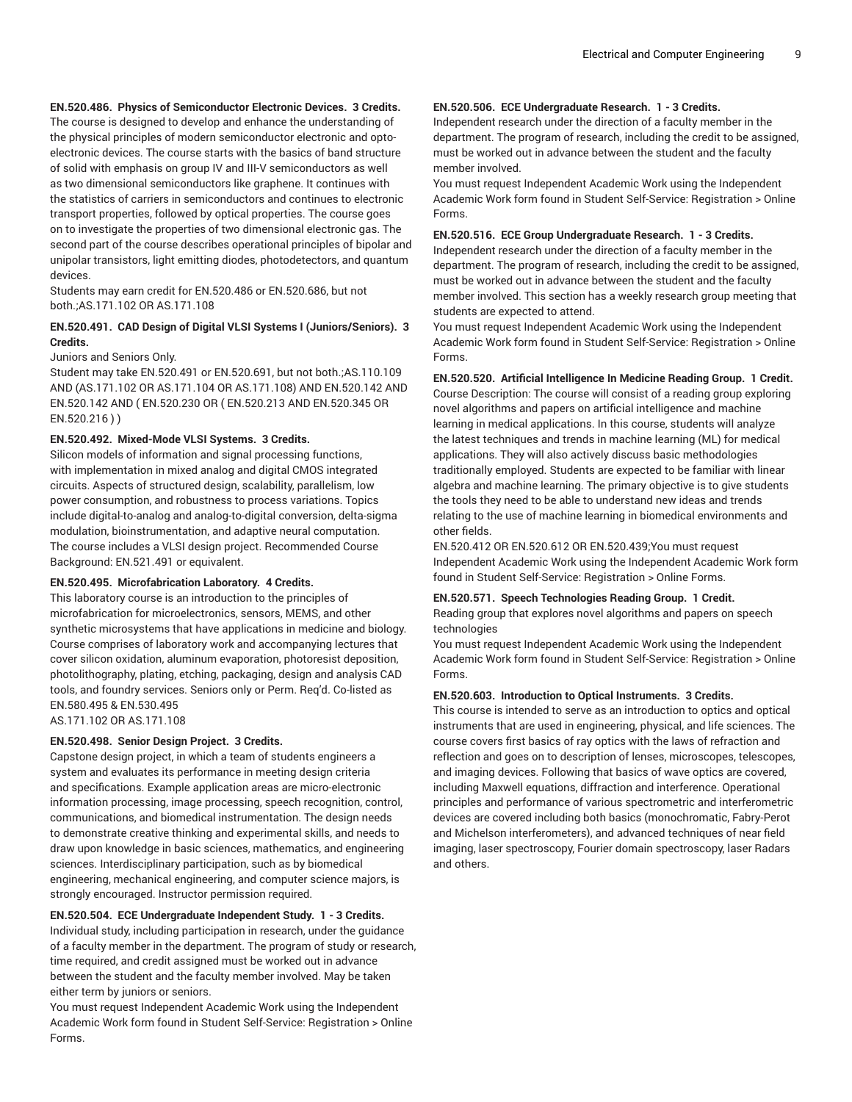## **EN.520.486. Physics of Semiconductor Electronic Devices. 3 Credits.**

The course is designed to develop and enhance the understanding of the physical principles of modern semiconductor electronic and optoelectronic devices. The course starts with the basics of band structure of solid with emphasis on group IV and III-V semiconductors as well as two dimensional semiconductors like graphene. It continues with the statistics of carriers in semiconductors and continues to electronic transport properties, followed by optical properties. The course goes on to investigate the properties of two dimensional electronic gas. The second part of the course describes operational principles of bipolar and unipolar transistors, light emitting diodes, photodetectors, and quantum devices.

Students may earn credit for EN.520.486 or EN.520.686, but not both.;AS.171.102 OR AS.171.108

## **EN.520.491. CAD Design of Digital VLSI Systems I (Juniors/Seniors). 3 Credits.**

### Juniors and Seniors Only.

Student may take EN.520.491 or EN.520.691, but not both.;AS.110.109 AND (AS.171.102 OR AS.171.104 OR AS.171.108) AND EN.520.142 AND EN.520.142 AND ( EN.520.230 OR ( EN.520.213 AND EN.520.345 OR EN.520.216 ) )

#### **EN.520.492. Mixed-Mode VLSI Systems. 3 Credits.**

Silicon models of information and signal processing functions, with implementation in mixed analog and digital CMOS integrated circuits. Aspects of structured design, scalability, parallelism, low power consumption, and robustness to process variations. Topics include digital-to-analog and analog-to-digital conversion, delta-sigma modulation, bioinstrumentation, and adaptive neural computation. The course includes a VLSI design project. Recommended Course Background: EN.521.491 or equivalent.

### **EN.520.495. Microfabrication Laboratory. 4 Credits.**

This laboratory course is an introduction to the principles of microfabrication for microelectronics, sensors, MEMS, and other synthetic microsystems that have applications in medicine and biology. Course comprises of laboratory work and accompanying lectures that cover silicon oxidation, aluminum evaporation, photoresist deposition, photolithography, plating, etching, packaging, design and analysis CAD tools, and foundry services. Seniors only or Perm. Req'd. Co-listed as EN.580.495 & EN.530.495

AS.171.102 OR AS.171.108

## **EN.520.498. Senior Design Project. 3 Credits.**

Capstone design project, in which a team of students engineers a system and evaluates its performance in meeting design criteria and specifications. Example application areas are micro-electronic information processing, image processing, speech recognition, control, communications, and biomedical instrumentation. The design needs to demonstrate creative thinking and experimental skills, and needs to draw upon knowledge in basic sciences, mathematics, and engineering sciences. Interdisciplinary participation, such as by biomedical engineering, mechanical engineering, and computer science majors, is strongly encouraged. Instructor permission required.

#### **EN.520.504. ECE Undergraduate Independent Study. 1 - 3 Credits.**

Individual study, including participation in research, under the guidance of a faculty member in the department. The program of study or research, time required, and credit assigned must be worked out in advance between the student and the faculty member involved. May be taken either term by juniors or seniors.

You must request Independent Academic Work using the Independent Academic Work form found in Student Self-Service: Registration > Online Forms.

### **EN.520.506. ECE Undergraduate Research. 1 - 3 Credits.**

Independent research under the direction of a faculty member in the department. The program of research, including the credit to be assigned, must be worked out in advance between the student and the faculty member involved.

You must request Independent Academic Work using the Independent Academic Work form found in Student Self-Service: Registration > Online Forms.

## **EN.520.516. ECE Group Undergraduate Research. 1 - 3 Credits.**

Independent research under the direction of a faculty member in the department. The program of research, including the credit to be assigned, must be worked out in advance between the student and the faculty member involved. This section has a weekly research group meeting that students are expected to attend.

You must request Independent Academic Work using the Independent Academic Work form found in Student Self-Service: Registration > Online Forms.

#### **EN.520.520. Artificial Intelligence In Medicine Reading Group. 1 Credit.**

Course Description: The course will consist of a reading group exploring novel algorithms and papers on artificial intelligence and machine learning in medical applications. In this course, students will analyze the latest techniques and trends in machine learning (ML) for medical applications. They will also actively discuss basic methodologies traditionally employed. Students are expected to be familiar with linear algebra and machine learning. The primary objective is to give students the tools they need to be able to understand new ideas and trends relating to the use of machine learning in biomedical environments and other fields.

EN.520.412 OR EN.520.612 OR EN.520.439;You must request Independent Academic Work using the Independent Academic Work form found in Student Self-Service: Registration > Online Forms.

#### **EN.520.571. Speech Technologies Reading Group. 1 Credit.**

Reading group that explores novel algorithms and papers on speech technologies

You must request Independent Academic Work using the Independent Academic Work form found in Student Self-Service: Registration > Online Forms.

#### **EN.520.603. Introduction to Optical Instruments. 3 Credits.**

This course is intended to serve as an introduction to optics and optical instruments that are used in engineering, physical, and life sciences. The course covers first basics of ray optics with the laws of refraction and reflection and goes on to description of lenses, microscopes, telescopes, and imaging devices. Following that basics of wave optics are covered, including Maxwell equations, diffraction and interference. Operational principles and performance of various spectrometric and interferometric devices are covered including both basics (monochromatic, Fabry-Perot and Michelson interferometers), and advanced techniques of near field imaging, laser spectroscopy, Fourier domain spectroscopy, laser Radars and others.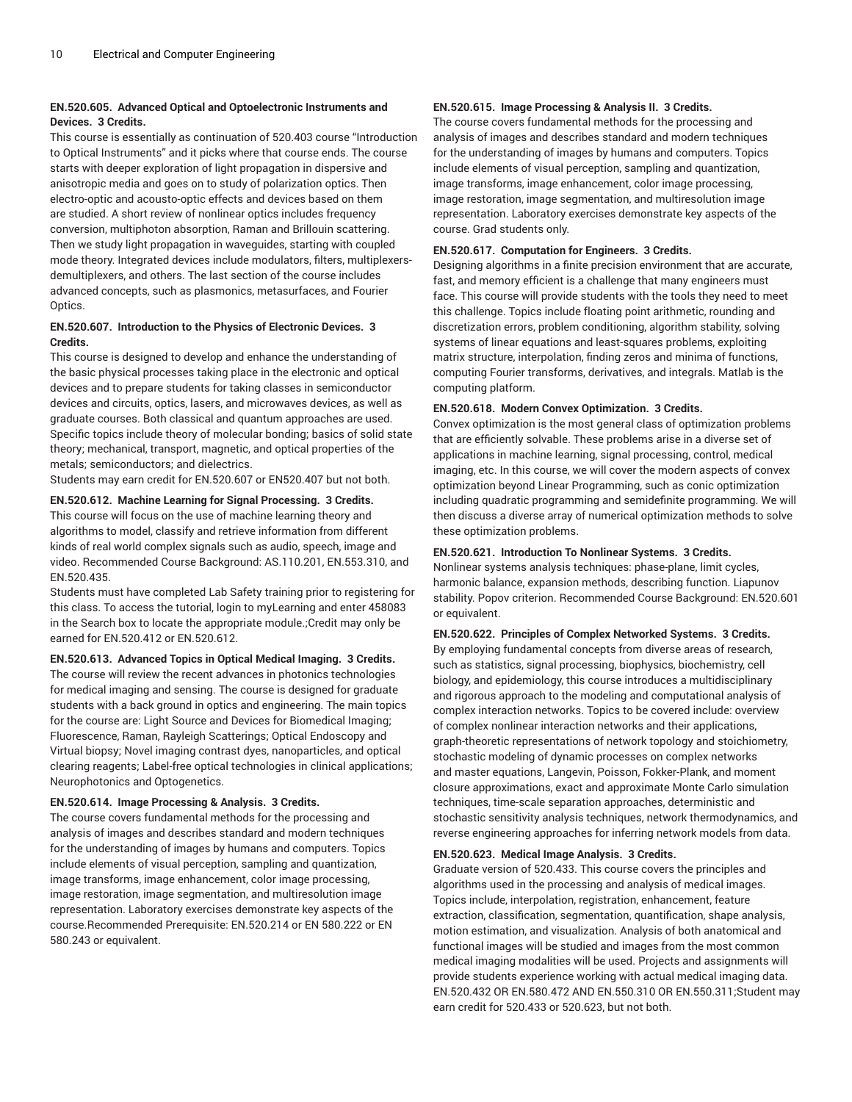## **EN.520.605. Advanced Optical and Optoelectronic Instruments and Devices. 3 Credits.**

This course is essentially as continuation of 520.403 course "Introduction to Optical Instruments" and it picks where that course ends. The course starts with deeper exploration of light propagation in dispersive and anisotropic media and goes on to study of polarization optics. Then electro-optic and acousto-optic effects and devices based on them are studied. A short review of nonlinear optics includes frequency conversion, multiphoton absorption, Raman and Brillouin scattering. Then we study light propagation in waveguides, starting with coupled mode theory. Integrated devices include modulators, filters, multiplexersdemultiplexers, and others. The last section of the course includes advanced concepts, such as plasmonics, metasurfaces, and Fourier Optics.

## **EN.520.607. Introduction to the Physics of Electronic Devices. 3 Credits.**

This course is designed to develop and enhance the understanding of the basic physical processes taking place in the electronic and optical devices and to prepare students for taking classes in semiconductor devices and circuits, optics, lasers, and microwaves devices, as well as graduate courses. Both classical and quantum approaches are used. Specific topics include theory of molecular bonding; basics of solid state theory; mechanical, transport, magnetic, and optical properties of the metals; semiconductors; and dielectrics.

Students may earn credit for EN.520.607 or EN520.407 but not both.

## **EN.520.612. Machine Learning for Signal Processing. 3 Credits.**

This course will focus on the use of machine learning theory and algorithms to model, classify and retrieve information from different kinds of real world complex signals such as audio, speech, image and video. Recommended Course Background: AS.110.201, EN.553.310, and EN.520.435.

Students must have completed Lab Safety training prior to registering for this class. To access the tutorial, login to myLearning and enter 458083 in the Search box to locate the appropriate module.;Credit may only be earned for EN.520.412 or EN.520.612.

## **EN.520.613. Advanced Topics in Optical Medical Imaging. 3 Credits.**

The course will review the recent advances in photonics technologies for medical imaging and sensing. The course is designed for graduate students with a back ground in optics and engineering. The main topics for the course are: Light Source and Devices for Biomedical Imaging; Fluorescence, Raman, Rayleigh Scatterings; Optical Endoscopy and Virtual biopsy; Novel imaging contrast dyes, nanoparticles, and optical clearing reagents; Label-free optical technologies in clinical applications; Neurophotonics and Optogenetics.

## **EN.520.614. Image Processing & Analysis. 3 Credits.**

The course covers fundamental methods for the processing and analysis of images and describes standard and modern techniques for the understanding of images by humans and computers. Topics include elements of visual perception, sampling and quantization, image transforms, image enhancement, color image processing, image restoration, image segmentation, and multiresolution image representation. Laboratory exercises demonstrate key aspects of the course.Recommended Prerequisite: EN.520.214 or EN 580.222 or EN 580.243 or equivalent.

## **EN.520.615. Image Processing & Analysis II. 3 Credits.**

The course covers fundamental methods for the processing and analysis of images and describes standard and modern techniques for the understanding of images by humans and computers. Topics include elements of visual perception, sampling and quantization, image transforms, image enhancement, color image processing, image restoration, image segmentation, and multiresolution image representation. Laboratory exercises demonstrate key aspects of the course. Grad students only.

## **EN.520.617. Computation for Engineers. 3 Credits.**

Designing algorithms in a finite precision environment that are accurate, fast, and memory efficient is a challenge that many engineers must face. This course will provide students with the tools they need to meet this challenge. Topics include floating point arithmetic, rounding and discretization errors, problem conditioning, algorithm stability, solving systems of linear equations and least-squares problems, exploiting matrix structure, interpolation, finding zeros and minima of functions, computing Fourier transforms, derivatives, and integrals. Matlab is the computing platform.

## **EN.520.618. Modern Convex Optimization. 3 Credits.**

Convex optimization is the most general class of optimization problems that are efficiently solvable. These problems arise in a diverse set of applications in machine learning, signal processing, control, medical imaging, etc. In this course, we will cover the modern aspects of convex optimization beyond Linear Programming, such as conic optimization including quadratic programming and semidefinite programming. We will then discuss a diverse array of numerical optimization methods to solve these optimization problems.

## **EN.520.621. Introduction To Nonlinear Systems. 3 Credits.**

Nonlinear systems analysis techniques: phase-plane, limit cycles, harmonic balance, expansion methods, describing function. Liapunov stability. Popov criterion. Recommended Course Background: EN.520.601 or equivalent.

## **EN.520.622. Principles of Complex Networked Systems. 3 Credits.**

By employing fundamental concepts from diverse areas of research, such as statistics, signal processing, biophysics, biochemistry, cell biology, and epidemiology, this course introduces a multidisciplinary and rigorous approach to the modeling and computational analysis of complex interaction networks. Topics to be covered include: overview of complex nonlinear interaction networks and their applications, graph-theoretic representations of network topology and stoichiometry, stochastic modeling of dynamic processes on complex networks and master equations, Langevin, Poisson, Fokker-Plank, and moment closure approximations, exact and approximate Monte Carlo simulation techniques, time-scale separation approaches, deterministic and stochastic sensitivity analysis techniques, network thermodynamics, and reverse engineering approaches for inferring network models from data.

## **EN.520.623. Medical Image Analysis. 3 Credits.**

Graduate version of 520.433. This course covers the principles and algorithms used in the processing and analysis of medical images. Topics include, interpolation, registration, enhancement, feature extraction, classification, segmentation, quantification, shape analysis, motion estimation, and visualization. Analysis of both anatomical and functional images will be studied and images from the most common medical imaging modalities will be used. Projects and assignments will provide students experience working with actual medical imaging data. EN.520.432 OR EN.580.472 AND EN.550.310 OR EN.550.311;Student may earn credit for 520.433 or 520.623, but not both.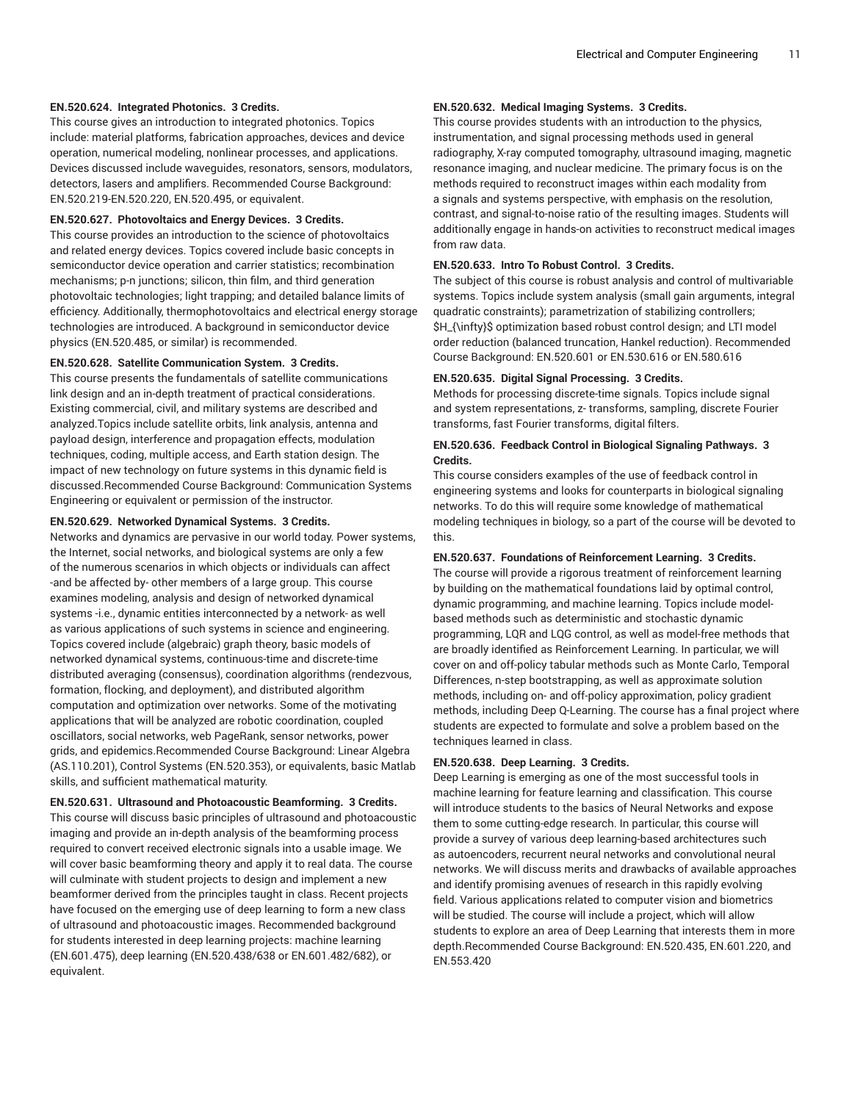## **EN.520.624. Integrated Photonics. 3 Credits.**

This course gives an introduction to integrated photonics. Topics include: material platforms, fabrication approaches, devices and device operation, numerical modeling, nonlinear processes, and applications. Devices discussed include waveguides, resonators, sensors, modulators, detectors, lasers and amplifiers. Recommended Course Background: EN.520.219-EN.520.220, EN.520.495, or equivalent.

## **EN.520.627. Photovoltaics and Energy Devices. 3 Credits.**

This course provides an introduction to the science of photovoltaics and related energy devices. Topics covered include basic concepts in semiconductor device operation and carrier statistics; recombination mechanisms; p-n junctions; silicon, thin film, and third generation photovoltaic technologies; light trapping; and detailed balance limits of efficiency. Additionally, thermophotovoltaics and electrical energy storage technologies are introduced. A background in semiconductor device physics (EN.520.485, or similar) is recommended.

#### **EN.520.628. Satellite Communication System. 3 Credits.**

This course presents the fundamentals of satellite communications link design and an in-depth treatment of practical considerations. Existing commercial, civil, and military systems are described and analyzed.Topics include satellite orbits, link analysis, antenna and payload design, interference and propagation effects, modulation techniques, coding, multiple access, and Earth station design. The impact of new technology on future systems in this dynamic field is discussed.Recommended Course Background: Communication Systems Engineering or equivalent or permission of the instructor.

## **EN.520.629. Networked Dynamical Systems. 3 Credits.**

Networks and dynamics are pervasive in our world today. Power systems, the Internet, social networks, and biological systems are only a few of the numerous scenarios in which objects or individuals can affect -and be affected by- other members of a large group. This course examines modeling, analysis and design of networked dynamical systems -i.e., dynamic entities interconnected by a network- as well as various applications of such systems in science and engineering. Topics covered include (algebraic) graph theory, basic models of networked dynamical systems, continuous-time and discrete-time distributed averaging (consensus), coordination algorithms (rendezvous, formation, flocking, and deployment), and distributed algorithm computation and optimization over networks. Some of the motivating applications that will be analyzed are robotic coordination, coupled oscillators, social networks, web PageRank, sensor networks, power grids, and epidemics.Recommended Course Background: Linear Algebra (AS.110.201), Control Systems (EN.520.353), or equivalents, basic Matlab skills, and sufficient mathematical maturity.

**EN.520.631. Ultrasound and Photoacoustic Beamforming. 3 Credits.** This course will discuss basic principles of ultrasound and photoacoustic imaging and provide an in-depth analysis of the beamforming process required to convert received electronic signals into a usable image. We will cover basic beamforming theory and apply it to real data. The course will culminate with student projects to design and implement a new beamformer derived from the principles taught in class. Recent projects have focused on the emerging use of deep learning to form a new class of ultrasound and photoacoustic images. Recommended background for students interested in deep learning projects: machine learning (EN.601.475), deep learning (EN.520.438/638 or EN.601.482/682), or equivalent.

### **EN.520.632. Medical Imaging Systems. 3 Credits.**

This course provides students with an introduction to the physics, instrumentation, and signal processing methods used in general radiography, X-ray computed tomography, ultrasound imaging, magnetic resonance imaging, and nuclear medicine. The primary focus is on the methods required to reconstruct images within each modality from a signals and systems perspective, with emphasis on the resolution, contrast, and signal-to-noise ratio of the resulting images. Students will additionally engage in hands-on activities to reconstruct medical images from raw data.

#### **EN.520.633. Intro To Robust Control. 3 Credits.**

The subject of this course is robust analysis and control of multivariable systems. Topics include system analysis (small gain arguments, integral quadratic constraints); parametrization of stabilizing controllers; \$H\_{\infty}\$ optimization based robust control design; and LTI model order reduction (balanced truncation, Hankel reduction). Recommended Course Background: EN.520.601 or EN.530.616 or EN.580.616

#### **EN.520.635. Digital Signal Processing. 3 Credits.**

Methods for processing discrete-time signals. Topics include signal and system representations, z- transforms, sampling, discrete Fourier transforms, fast Fourier transforms, digital filters.

## **EN.520.636. Feedback Control in Biological Signaling Pathways. 3 Credits.**

This course considers examples of the use of feedback control in engineering systems and looks for counterparts in biological signaling networks. To do this will require some knowledge of mathematical modeling techniques in biology, so a part of the course will be devoted to this.

#### **EN.520.637. Foundations of Reinforcement Learning. 3 Credits.**

The course will provide a rigorous treatment of reinforcement learning by building on the mathematical foundations laid by optimal control, dynamic programming, and machine learning. Topics include modelbased methods such as deterministic and stochastic dynamic programming, LQR and LQG control, as well as model-free methods that are broadly identified as Reinforcement Learning. In particular, we will cover on and off-policy tabular methods such as Monte Carlo, Temporal Differences, n-step bootstrapping, as well as approximate solution methods, including on- and off-policy approximation, policy gradient methods, including Deep Q-Learning. The course has a final project where students are expected to formulate and solve a problem based on the techniques learned in class.

## **EN.520.638. Deep Learning. 3 Credits.**

Deep Learning is emerging as one of the most successful tools in machine learning for feature learning and classification. This course will introduce students to the basics of Neural Networks and expose them to some cutting-edge research. In particular, this course will provide a survey of various deep learning-based architectures such as autoencoders, recurrent neural networks and convolutional neural networks. We will discuss merits and drawbacks of available approaches and identify promising avenues of research in this rapidly evolving field. Various applications related to computer vision and biometrics will be studied. The course will include a project, which will allow students to explore an area of Deep Learning that interests them in more depth.Recommended Course Background: EN.520.435, EN.601.220, and EN.553.420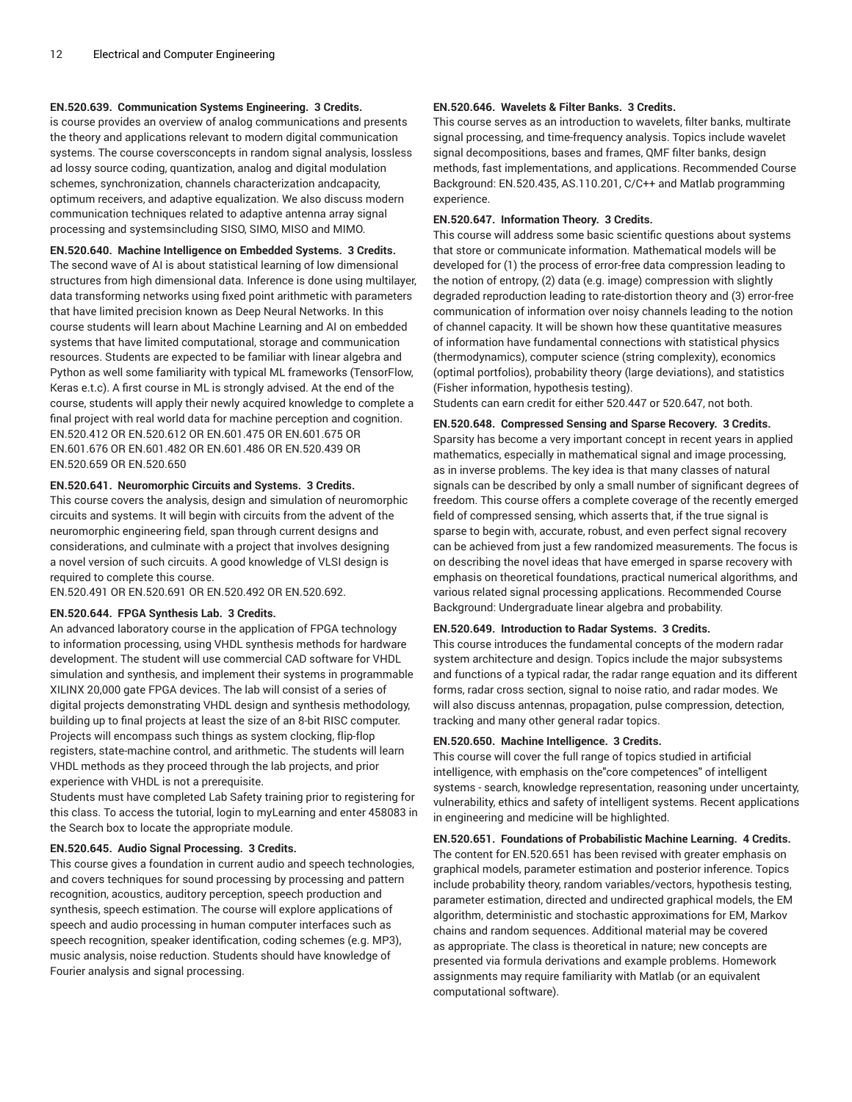## **EN.520.639. Communication Systems Engineering. 3 Credits.**

is course provides an overview of analog communications and presents the theory and applications relevant to modern digital communication systems. The course coversconcepts in random signal analysis, lossless ad lossy source coding, quantization, analog and digital modulation schemes, synchronization, channels characterization andcapacity, optimum receivers, and adaptive equalization. We also discuss modern communication techniques related to adaptive antenna array signal processing and systemsincluding SISO, SIMO, MISO and MIMO.

**EN.520.640. Machine Intelligence on Embedded Systems. 3 Credits.** The second wave of AI is about statistical learning of low dimensional structures from high dimensional data. Inference is done using multilayer, data transforming networks using fixed point arithmetic with parameters that have limited precision known as Deep Neural Networks. In this course students will learn about Machine Learning and AI on embedded systems that have limited computational, storage and communication resources. Students are expected to be familiar with linear algebra and Python as well some familiarity with typical ML frameworks (TensorFlow, Keras e.t.c). A first course in ML is strongly advised. At the end of the course, students will apply their newly acquired knowledge to complete a final project with real world data for machine perception and cognition. EN.520.412 OR EN.520.612 OR EN.601.475 OR EN.601.675 OR EN.601.676 OR EN.601.482 OR EN.601.486 OR EN.520.439 OR EN.520.659 OR EN.520.650

#### **EN.520.641. Neuromorphic Circuits and Systems. 3 Credits.**

This course covers the analysis, design and simulation of neuromorphic circuits and systems. It will begin with circuits from the advent of the neuromorphic engineering field, span through current designs and considerations, and culminate with a project that involves designing a novel version of such circuits. A good knowledge of VLSI design is required to complete this course.

EN.520.491 OR EN.520.691 OR EN.520.492 OR EN.520.692.

## **EN.520.644. FPGA Synthesis Lab. 3 Credits.**

An advanced laboratory course in the application of FPGA technology to information processing, using VHDL synthesis methods for hardware development. The student will use commercial CAD software for VHDL simulation and synthesis, and implement their systems in programmable XILINX 20,000 gate FPGA devices. The lab will consist of a series of digital projects demonstrating VHDL design and synthesis methodology, building up to final projects at least the size of an 8-bit RISC computer. Projects will encompass such things as system clocking, flip-flop registers, state-machine control, and arithmetic. The students will learn VHDL methods as they proceed through the lab projects, and prior experience with VHDL is not a prerequisite.

Students must have completed Lab Safety training prior to registering for this class. To access the tutorial, login to myLearning and enter 458083 in the Search box to locate the appropriate module.

## **EN.520.645. Audio Signal Processing. 3 Credits.**

This course gives a foundation in current audio and speech technologies, and covers techniques for sound processing by processing and pattern recognition, acoustics, auditory perception, speech production and synthesis, speech estimation. The course will explore applications of speech and audio processing in human computer interfaces such as speech recognition, speaker identification, coding schemes (e.g. MP3), music analysis, noise reduction. Students should have knowledge of Fourier analysis and signal processing.

### **EN.520.646. Wavelets & Filter Banks. 3 Credits.**

This course serves as an introduction to wavelets, filter banks, multirate signal processing, and time-frequency analysis. Topics include wavelet signal decompositions, bases and frames, QMF filter banks, design methods, fast implementations, and applications. Recommended Course Background: EN.520.435, AS.110.201, C/C++ and Matlab programming experience.

#### **EN.520.647. Information Theory. 3 Credits.**

This course will address some basic scientific questions about systems that store or communicate information. Mathematical models will be developed for (1) the process of error-free data compression leading to the notion of entropy, (2) data (e.g. image) compression with slightly degraded reproduction leading to rate-distortion theory and (3) error-free communication of information over noisy channels leading to the notion of channel capacity. It will be shown how these quantitative measures of information have fundamental connections with statistical physics (thermodynamics), computer science (string complexity), economics (optimal portfolios), probability theory (large deviations), and statistics (Fisher information, hypothesis testing).

Students can earn credit for either 520.447 or 520.647, not both.

## **EN.520.648. Compressed Sensing and Sparse Recovery. 3 Credits.**

Sparsity has become a very important concept in recent years in applied mathematics, especially in mathematical signal and image processing, as in inverse problems. The key idea is that many classes of natural signals can be described by only a small number of significant degrees of freedom. This course offers a complete coverage of the recently emerged field of compressed sensing, which asserts that, if the true signal is sparse to begin with, accurate, robust, and even perfect signal recovery can be achieved from just a few randomized measurements. The focus is on describing the novel ideas that have emerged in sparse recovery with emphasis on theoretical foundations, practical numerical algorithms, and various related signal processing applications. Recommended Course Background: Undergraduate linear algebra and probability.

## **EN.520.649. Introduction to Radar Systems. 3 Credits.**

This course introduces the fundamental concepts of the modern radar system architecture and design. Topics include the major subsystems and functions of a typical radar, the radar range equation and its different forms, radar cross section, signal to noise ratio, and radar modes. We will also discuss antennas, propagation, pulse compression, detection, tracking and many other general radar topics.

#### **EN.520.650. Machine Intelligence. 3 Credits.**

This course will cover the full range of topics studied in artificial intelligence, with emphasis on the"core competences" of intelligent systems - search, knowledge representation, reasoning under uncertainty, vulnerability, ethics and safety of intelligent systems. Recent applications in engineering and medicine will be highlighted.

#### **EN.520.651. Foundations of Probabilistic Machine Learning. 4 Credits.**

The content for EN.520.651 has been revised with greater emphasis on graphical models, parameter estimation and posterior inference. Topics include probability theory, random variables/vectors, hypothesis testing, parameter estimation, directed and undirected graphical models, the EM algorithm, deterministic and stochastic approximations for EM, Markov chains and random sequences. Additional material may be covered as appropriate. The class is theoretical in nature; new concepts are presented via formula derivations and example problems. Homework assignments may require familiarity with Matlab (or an equivalent computational software).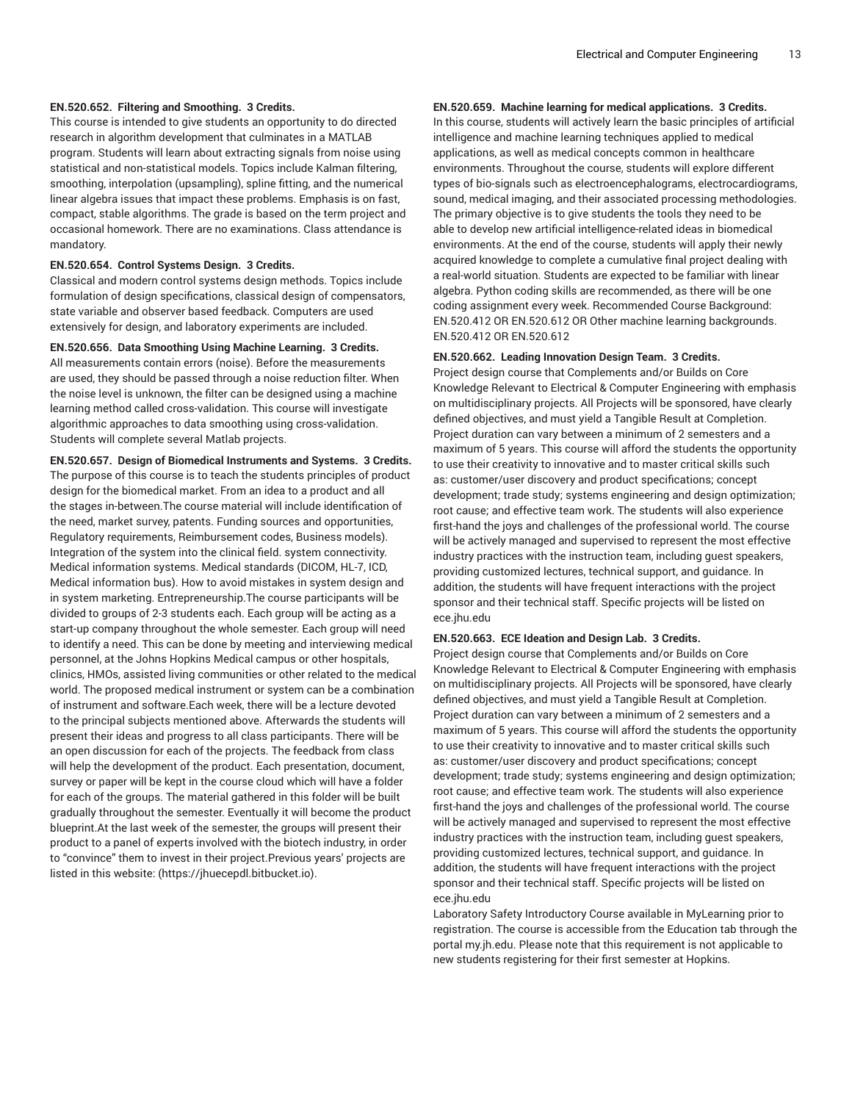#### **EN.520.652. Filtering and Smoothing. 3 Credits.**

This course is intended to give students an opportunity to do directed research in algorithm development that culminates in a MATLAB program. Students will learn about extracting signals from noise using statistical and non-statistical models. Topics include Kalman filtering, smoothing, interpolation (upsampling), spline fitting, and the numerical linear algebra issues that impact these problems. Emphasis is on fast, compact, stable algorithms. The grade is based on the term project and occasional homework. There are no examinations. Class attendance is mandatory.

#### **EN.520.654. Control Systems Design. 3 Credits.**

Classical and modern control systems design methods. Topics include formulation of design specifications, classical design of compensators, state variable and observer based feedback. Computers are used extensively for design, and laboratory experiments are included.

#### **EN.520.656. Data Smoothing Using Machine Learning. 3 Credits.**

All measurements contain errors (noise). Before the measurements are used, they should be passed through a noise reduction filter. When the noise level is unknown, the filter can be designed using a machine learning method called cross-validation. This course will investigate algorithmic approaches to data smoothing using cross-validation. Students will complete several Matlab projects.

**EN.520.657. Design of Biomedical Instruments and Systems. 3 Credits.** The purpose of this course is to teach the students principles of product design for the biomedical market. From an idea to a product and all the stages in-between.The course material will include identification of the need, market survey, patents. Funding sources and opportunities, Regulatory requirements, Reimbursement codes, Business models). Integration of the system into the clinical field. system connectivity. Medical information systems. Medical standards (DICOM, HL-7, ICD, Medical information bus). How to avoid mistakes in system design and in system marketing. Entrepreneurship.The course participants will be divided to groups of 2-3 students each. Each group will be acting as a start-up company throughout the whole semester. Each group will need to identify a need. This can be done by meeting and interviewing medical personnel, at the Johns Hopkins Medical campus or other hospitals, clinics, HMOs, assisted living communities or other related to the medical world. The proposed medical instrument or system can be a combination of instrument and software.Each week, there will be a lecture devoted to the principal subjects mentioned above. Afterwards the students will present their ideas and progress to all class participants. There will be an open discussion for each of the projects. The feedback from class will help the development of the product. Each presentation, document, survey or paper will be kept in the course cloud which will have a folder for each of the groups. The material gathered in this folder will be built gradually throughout the semester. Eventually it will become the product blueprint.At the last week of the semester, the groups will present their product to a panel of experts involved with the biotech industry, in order to "convince" them to invest in their project.Previous years' projects are listed in this website: (https://jhuecepdl.bitbucket.io).

## **EN.520.659. Machine learning for medical applications. 3 Credits.**

In this course, students will actively learn the basic principles of artificial intelligence and machine learning techniques applied to medical applications, as well as medical concepts common in healthcare environments. Throughout the course, students will explore different types of bio-signals such as electroencephalograms, electrocardiograms, sound, medical imaging, and their associated processing methodologies. The primary objective is to give students the tools they need to be able to develop new artificial intelligence-related ideas in biomedical environments. At the end of the course, students will apply their newly acquired knowledge to complete a cumulative final project dealing with a real-world situation. Students are expected to be familiar with linear algebra. Python coding skills are recommended, as there will be one coding assignment every week. Recommended Course Background: EN.520.412 OR EN.520.612 OR Other machine learning backgrounds. EN.520.412 OR EN.520.612

#### **EN.520.662. Leading Innovation Design Team. 3 Credits.**

Project design course that Complements and/or Builds on Core Knowledge Relevant to Electrical & Computer Engineering with emphasis on multidisciplinary projects. All Projects will be sponsored, have clearly defined objectives, and must yield a Tangible Result at Completion. Project duration can vary between a minimum of 2 semesters and a maximum of 5 years. This course will afford the students the opportunity to use their creativity to innovative and to master critical skills such as: customer/user discovery and product specifications; concept development; trade study; systems engineering and design optimization; root cause; and effective team work. The students will also experience first-hand the joys and challenges of the professional world. The course will be actively managed and supervised to represent the most effective industry practices with the instruction team, including guest speakers, providing customized lectures, technical support, and guidance. In addition, the students will have frequent interactions with the project sponsor and their technical staff. Specific projects will be listed on ece.jhu.edu

#### **EN.520.663. ECE Ideation and Design Lab. 3 Credits.**

Project design course that Complements and/or Builds on Core Knowledge Relevant to Electrical & Computer Engineering with emphasis on multidisciplinary projects. All Projects will be sponsored, have clearly defined objectives, and must yield a Tangible Result at Completion. Project duration can vary between a minimum of 2 semesters and a maximum of 5 years. This course will afford the students the opportunity to use their creativity to innovative and to master critical skills such as: customer/user discovery and product specifications; concept development; trade study; systems engineering and design optimization; root cause; and effective team work. The students will also experience first-hand the joys and challenges of the professional world. The course will be actively managed and supervised to represent the most effective industry practices with the instruction team, including guest speakers, providing customized lectures, technical support, and guidance. In addition, the students will have frequent interactions with the project sponsor and their technical staff. Specific projects will be listed on ece.jhu.edu

Laboratory Safety Introductory Course available in MyLearning prior to registration. The course is accessible from the Education tab through the portal my.jh.edu. Please note that this requirement is not applicable to new students registering for their first semester at Hopkins.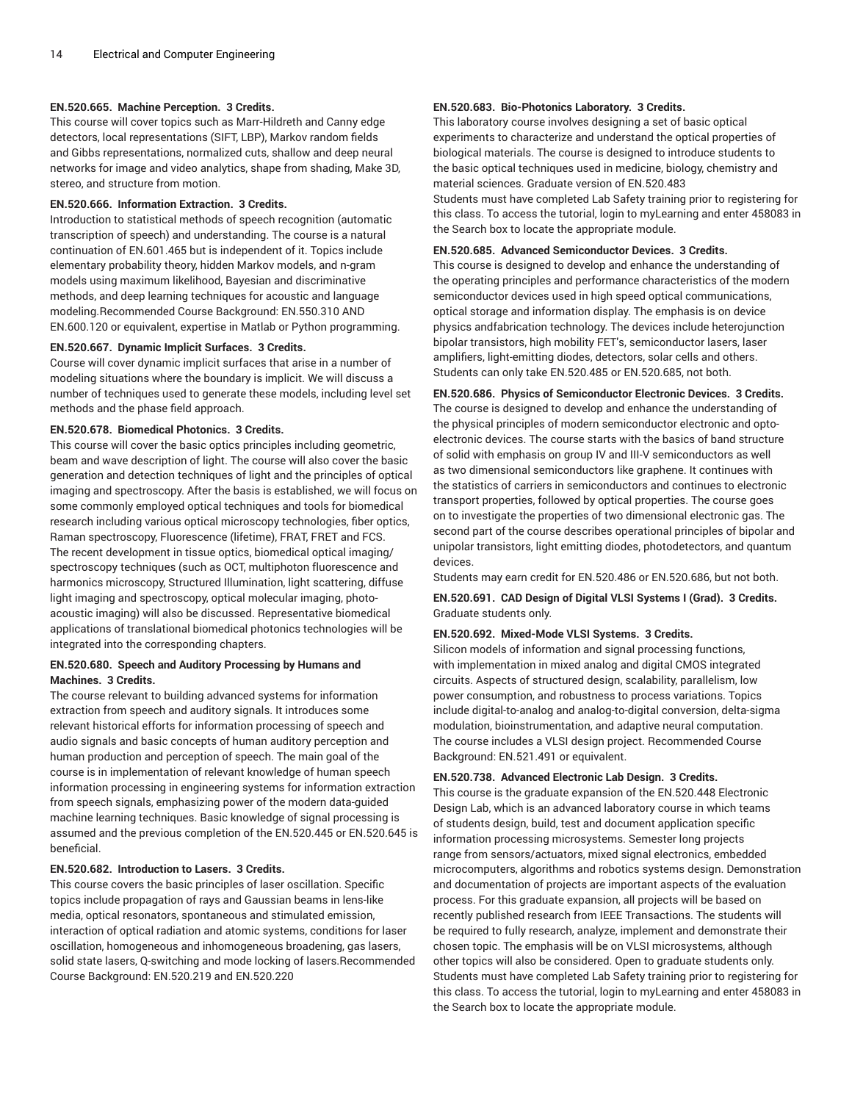## **EN.520.665. Machine Perception. 3 Credits.**

This course will cover topics such as Marr-Hildreth and Canny edge detectors, local representations (SIFT, LBP), Markov random fields and Gibbs representations, normalized cuts, shallow and deep neural networks for image and video analytics, shape from shading, Make 3D, stereo, and structure from motion.

### **EN.520.666. Information Extraction. 3 Credits.**

Introduction to statistical methods of speech recognition (automatic transcription of speech) and understanding. The course is a natural continuation of EN.601.465 but is independent of it. Topics include elementary probability theory, hidden Markov models, and n-gram models using maximum likelihood, Bayesian and discriminative methods, and deep learning techniques for acoustic and language modeling.Recommended Course Background: EN.550.310 AND EN.600.120 or equivalent, expertise in Matlab or Python programming.

#### **EN.520.667. Dynamic Implicit Surfaces. 3 Credits.**

Course will cover dynamic implicit surfaces that arise in a number of modeling situations where the boundary is implicit. We will discuss a number of techniques used to generate these models, including level set methods and the phase field approach.

## **EN.520.678. Biomedical Photonics. 3 Credits.**

This course will cover the basic optics principles including geometric, beam and wave description of light. The course will also cover the basic generation and detection techniques of light and the principles of optical imaging and spectroscopy. After the basis is established, we will focus on some commonly employed optical techniques and tools for biomedical research including various optical microscopy technologies, fiber optics, Raman spectroscopy, Fluorescence (lifetime), FRAT, FRET and FCS. The recent development in tissue optics, biomedical optical imaging/ spectroscopy techniques (such as OCT, multiphoton fluorescence and harmonics microscopy, Structured Illumination, light scattering, diffuse light imaging and spectroscopy, optical molecular imaging, photoacoustic imaging) will also be discussed. Representative biomedical applications of translational biomedical photonics technologies will be integrated into the corresponding chapters.

## **EN.520.680. Speech and Auditory Processing by Humans and Machines. 3 Credits.**

The course relevant to building advanced systems for information extraction from speech and auditory signals. It introduces some relevant historical efforts for information processing of speech and audio signals and basic concepts of human auditory perception and human production and perception of speech. The main goal of the course is in implementation of relevant knowledge of human speech information processing in engineering systems for information extraction from speech signals, emphasizing power of the modern data-guided machine learning techniques. Basic knowledge of signal processing is assumed and the previous completion of the EN.520.445 or EN.520.645 is beneficial.

## **EN.520.682. Introduction to Lasers. 3 Credits.**

This course covers the basic principles of laser oscillation. Specific topics include propagation of rays and Gaussian beams in lens-like media, optical resonators, spontaneous and stimulated emission, interaction of optical radiation and atomic systems, conditions for laser oscillation, homogeneous and inhomogeneous broadening, gas lasers, solid state lasers, Q-switching and mode locking of lasers.Recommended Course Background: EN.520.219 and EN.520.220

## **EN.520.683. Bio-Photonics Laboratory. 3 Credits.**

This laboratory course involves designing a set of basic optical experiments to characterize and understand the optical properties of biological materials. The course is designed to introduce students to the basic optical techniques used in medicine, biology, chemistry and material sciences. Graduate version of EN.520.483 Students must have completed Lab Safety training prior to registering for this class. To access the tutorial, login to myLearning and enter 458083 in the Search box to locate the appropriate module.

### **EN.520.685. Advanced Semiconductor Devices. 3 Credits.**

This course is designed to develop and enhance the understanding of the operating principles and performance characteristics of the modern semiconductor devices used in high speed optical communications, optical storage and information display. The emphasis is on device physics andfabrication technology. The devices include heterojunction bipolar transistors, high mobility FET's, semiconductor lasers, laser amplifiers, light-emitting diodes, detectors, solar cells and others. Students can only take EN.520.485 or EN.520.685, not both.

#### **EN.520.686. Physics of Semiconductor Electronic Devices. 3 Credits.**

The course is designed to develop and enhance the understanding of the physical principles of modern semiconductor electronic and optoelectronic devices. The course starts with the basics of band structure of solid with emphasis on group IV and III-V semiconductors as well as two dimensional semiconductors like graphene. It continues with the statistics of carriers in semiconductors and continues to electronic transport properties, followed by optical properties. The course goes on to investigate the properties of two dimensional electronic gas. The second part of the course describes operational principles of bipolar and unipolar transistors, light emitting diodes, photodetectors, and quantum devices.

Students may earn credit for EN.520.486 or EN.520.686, but not both.

**EN.520.691. CAD Design of Digital VLSI Systems I (Grad). 3 Credits.** Graduate students only.

### **EN.520.692. Mixed-Mode VLSI Systems. 3 Credits.**

Silicon models of information and signal processing functions, with implementation in mixed analog and digital CMOS integrated circuits. Aspects of structured design, scalability, parallelism, low power consumption, and robustness to process variations. Topics include digital-to-analog and analog-to-digital conversion, delta-sigma modulation, bioinstrumentation, and adaptive neural computation. The course includes a VLSI design project. Recommended Course Background: EN.521.491 or equivalent.

#### **EN.520.738. Advanced Electronic Lab Design. 3 Credits.**

This course is the graduate expansion of the EN.520.448 Electronic Design Lab, which is an advanced laboratory course in which teams of students design, build, test and document application specific information processing microsystems. Semester long projects range from sensors/actuators, mixed signal electronics, embedded microcomputers, algorithms and robotics systems design. Demonstration and documentation of projects are important aspects of the evaluation process. For this graduate expansion, all projects will be based on recently published research from IEEE Transactions. The students will be required to fully research, analyze, implement and demonstrate their chosen topic. The emphasis will be on VLSI microsystems, although other topics will also be considered. Open to graduate students only. Students must have completed Lab Safety training prior to registering for this class. To access the tutorial, login to myLearning and enter 458083 in the Search box to locate the appropriate module.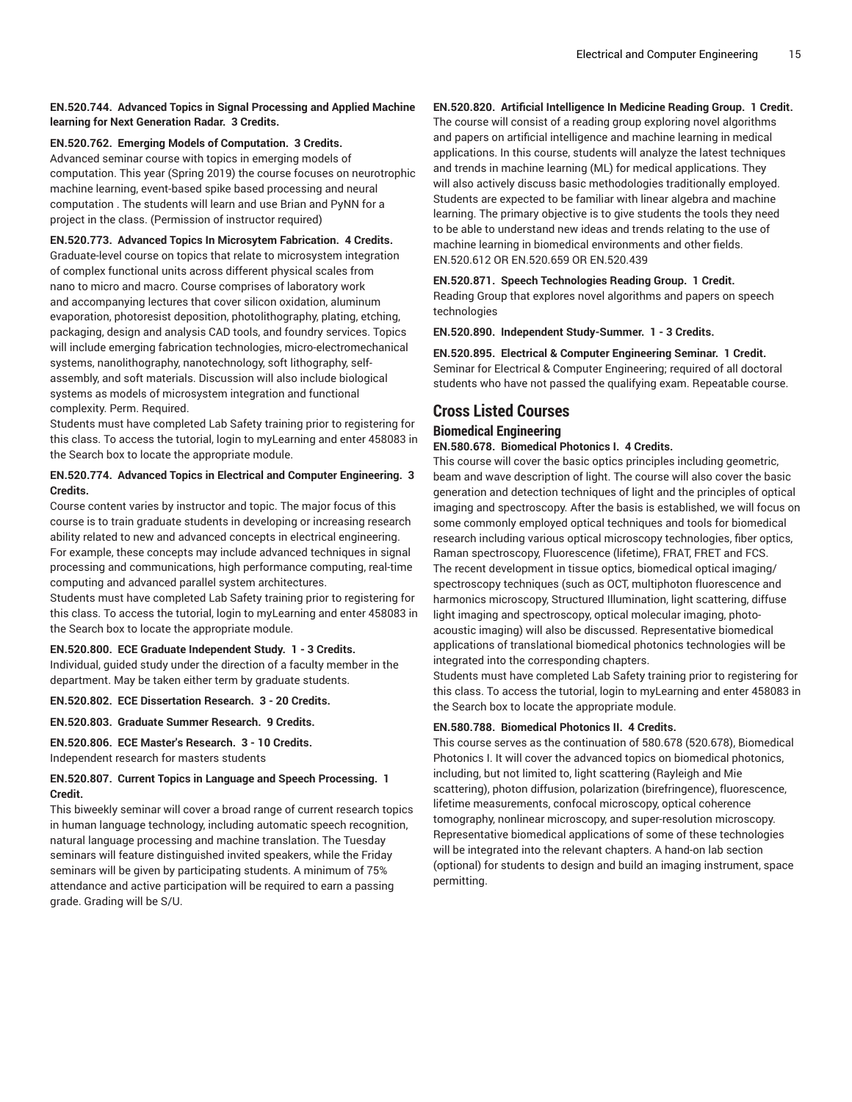## **EN.520.744. Advanced Topics in Signal Processing and Applied Machine learning for Next Generation Radar. 3 Credits.**

## **EN.520.762. Emerging Models of Computation. 3 Credits.**

Advanced seminar course with topics in emerging models of computation. This year (Spring 2019) the course focuses on neurotrophic machine learning, event-based spike based processing and neural computation . The students will learn and use Brian and PyNN for a project in the class. (Permission of instructor required)

### **EN.520.773. Advanced Topics In Microsytem Fabrication. 4 Credits.**

Graduate-level course on topics that relate to microsystem integration of complex functional units across different physical scales from nano to micro and macro. Course comprises of laboratory work and accompanying lectures that cover silicon oxidation, aluminum evaporation, photoresist deposition, photolithography, plating, etching, packaging, design and analysis CAD tools, and foundry services. Topics will include emerging fabrication technologies, micro-electromechanical systems, nanolithography, nanotechnology, soft lithography, selfassembly, and soft materials. Discussion will also include biological systems as models of microsystem integration and functional complexity. Perm. Required.

Students must have completed Lab Safety training prior to registering for this class. To access the tutorial, login to myLearning and enter 458083 in the Search box to locate the appropriate module.

## **EN.520.774. Advanced Topics in Electrical and Computer Engineering. 3 Credits.**

Course content varies by instructor and topic. The major focus of this course is to train graduate students in developing or increasing research ability related to new and advanced concepts in electrical engineering. For example, these concepts may include advanced techniques in signal processing and communications, high performance computing, real-time computing and advanced parallel system architectures.

Students must have completed Lab Safety training prior to registering for this class. To access the tutorial, login to myLearning and enter 458083 in the Search box to locate the appropriate module.

## **EN.520.800. ECE Graduate Independent Study. 1 - 3 Credits.**

Individual, guided study under the direction of a faculty member in the department. May be taken either term by graduate students.

**EN.520.802. ECE Dissertation Research. 3 - 20 Credits.**

**EN.520.803. Graduate Summer Research. 9 Credits.**

## **EN.520.806. ECE Master's Research. 3 - 10 Credits.** Independent research for masters students

## **EN.520.807. Current Topics in Language and Speech Processing. 1 Credit.**

This biweekly seminar will cover a broad range of current research topics in human language technology, including automatic speech recognition, natural language processing and machine translation. The Tuesday seminars will feature distinguished invited speakers, while the Friday seminars will be given by participating students. A minimum of 75% attendance and active participation will be required to earn a passing grade. Grading will be S/U.

## **EN.520.820. Artificial Intelligence In Medicine Reading Group. 1 Credit.**

The course will consist of a reading group exploring novel algorithms and papers on artificial intelligence and machine learning in medical applications. In this course, students will analyze the latest techniques and trends in machine learning (ML) for medical applications. They will also actively discuss basic methodologies traditionally employed. Students are expected to be familiar with linear algebra and machine learning. The primary objective is to give students the tools they need to be able to understand new ideas and trends relating to the use of machine learning in biomedical environments and other fields. EN.520.612 OR EN.520.659 OR EN.520.439

### **EN.520.871. Speech Technologies Reading Group. 1 Credit.**

Reading Group that explores novel algorithms and papers on speech technologies

**EN.520.890. Independent Study-Summer. 1 - 3 Credits.**

**EN.520.895. Electrical & Computer Engineering Seminar. 1 Credit.** Seminar for Electrical & Computer Engineering; required of all doctoral students who have not passed the qualifying exam. Repeatable course.

## **Cross Listed Courses**

## **Biomedical Engineering**

## **EN.580.678. Biomedical Photonics I. 4 Credits.**

This course will cover the basic optics principles including geometric, beam and wave description of light. The course will also cover the basic generation and detection techniques of light and the principles of optical imaging and spectroscopy. After the basis is established, we will focus on some commonly employed optical techniques and tools for biomedical research including various optical microscopy technologies, fiber optics, Raman spectroscopy, Fluorescence (lifetime), FRAT, FRET and FCS. The recent development in tissue optics, biomedical optical imaging/ spectroscopy techniques (such as OCT, multiphoton fluorescence and harmonics microscopy, Structured Illumination, light scattering, diffuse light imaging and spectroscopy, optical molecular imaging, photoacoustic imaging) will also be discussed. Representative biomedical applications of translational biomedical photonics technologies will be integrated into the corresponding chapters.

Students must have completed Lab Safety training prior to registering for this class. To access the tutorial, login to myLearning and enter 458083 in the Search box to locate the appropriate module.

## **EN.580.788. Biomedical Photonics II. 4 Credits.**

This course serves as the continuation of 580.678 (520.678), Biomedical Photonics I. It will cover the advanced topics on biomedical photonics, including, but not limited to, light scattering (Rayleigh and Mie scattering), photon diffusion, polarization (birefringence), fluorescence, lifetime measurements, confocal microscopy, optical coherence tomography, nonlinear microscopy, and super-resolution microscopy. Representative biomedical applications of some of these technologies will be integrated into the relevant chapters. A hand-on lab section (optional) for students to design and build an imaging instrument, space permitting.